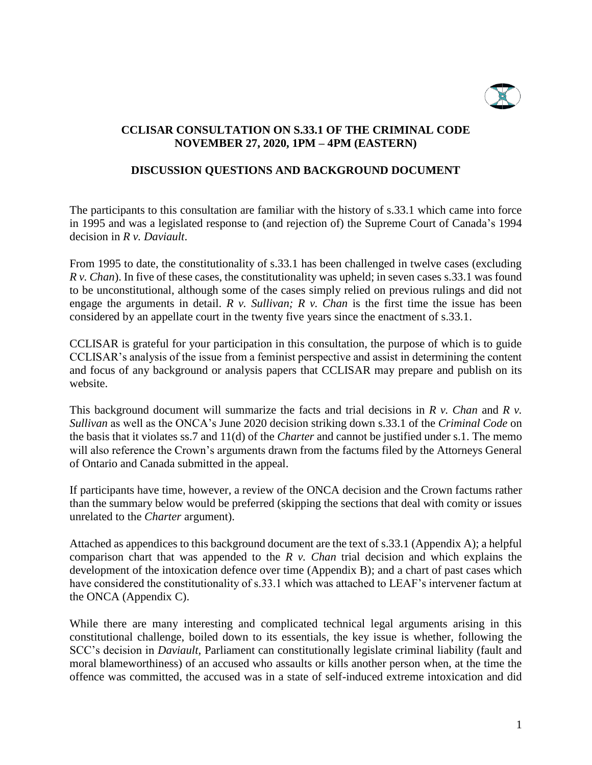

# **CCLISAR CONSULTATION ON S.33.1 OF THE CRIMINAL CODE NOVEMBER 27, 2020, 1PM – 4PM (EASTERN)**

# **DISCUSSION QUESTIONS AND BACKGROUND DOCUMENT**

The participants to this consultation are familiar with the history of s.33.1 which came into force in 1995 and was a legislated response to (and rejection of) the Supreme Court of Canada's 1994 decision in *R v. Daviault*.

From 1995 to date, the constitutionality of s.33.1 has been challenged in twelve cases (excluding *R v. Chan*). In five of these cases, the constitutionality was upheld; in seven cases s.33.1 was found to be unconstitutional, although some of the cases simply relied on previous rulings and did not engage the arguments in detail. *R v. Sullivan; R v. Chan* is the first time the issue has been considered by an appellate court in the twenty five years since the enactment of s.33.1.

CCLISAR is grateful for your participation in this consultation, the purpose of which is to guide CCLISAR's analysis of the issue from a feminist perspective and assist in determining the content and focus of any background or analysis papers that CCLISAR may prepare and publish on its website.

This background document will summarize the facts and trial decisions in *R v. Chan* and *R v. Sullivan* as well as the ONCA's June 2020 decision striking down s.33.1 of the *Criminal Code* on the basis that it violates ss.7 and 11(d) of the *Charter* and cannot be justified under s.1. The memo will also reference the Crown's arguments drawn from the factums filed by the Attorneys General of Ontario and Canada submitted in the appeal.

If participants have time, however, a review of the ONCA decision and the Crown factums rather than the summary below would be preferred (skipping the sections that deal with comity or issues unrelated to the *Charter* argument).

Attached as appendices to this background document are the text of s.33.1 (Appendix A); a helpful comparison chart that was appended to the *R v. Chan* trial decision and which explains the development of the intoxication defence over time (Appendix B); and a chart of past cases which have considered the constitutionality of s.33.1 which was attached to LEAF's intervener factum at the ONCA (Appendix C).

While there are many interesting and complicated technical legal arguments arising in this constitutional challenge, boiled down to its essentials, the key issue is whether, following the SCC's decision in *Daviault,* Parliament can constitutionally legislate criminal liability (fault and moral blameworthiness) of an accused who assaults or kills another person when, at the time the offence was committed, the accused was in a state of self-induced extreme intoxication and did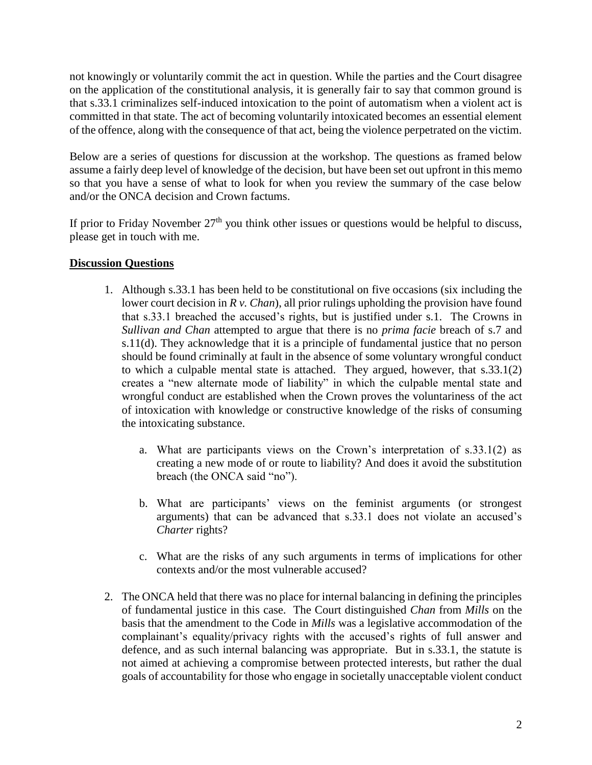not knowingly or voluntarily commit the act in question. While the parties and the Court disagree on the application of the constitutional analysis, it is generally fair to say that common ground is that s.33.1 criminalizes self-induced intoxication to the point of automatism when a violent act is committed in that state. The act of becoming voluntarily intoxicated becomes an essential element of the offence, along with the consequence of that act, being the violence perpetrated on the victim.

Below are a series of questions for discussion at the workshop. The questions as framed below assume a fairly deep level of knowledge of the decision, but have been set out upfront in this memo so that you have a sense of what to look for when you review the summary of the case below and/or the ONCA decision and Crown factums.

If prior to Friday November  $27<sup>th</sup>$  you think other issues or questions would be helpful to discuss, please get in touch with me.

# **Discussion Questions**

- 1. Although s.33.1 has been held to be constitutional on five occasions (six including the lower court decision in *R v. Chan*), all prior rulings upholding the provision have found that s.33.1 breached the accused's rights, but is justified under s.1. The Crowns in *Sullivan and Chan* attempted to argue that there is no *prima facie* breach of s.7 and s.11(d). They acknowledge that it is a principle of fundamental justice that no person should be found criminally at fault in the absence of some voluntary wrongful conduct to which a culpable mental state is attached. They argued, however, that s.33.1(2) creates a "new alternate mode of liability" in which the culpable mental state and wrongful conduct are established when the Crown proves the voluntariness of the act of intoxication with knowledge or constructive knowledge of the risks of consuming the intoxicating substance.
	- a. What are participants views on the Crown's interpretation of s.33.1(2) as creating a new mode of or route to liability? And does it avoid the substitution breach (the ONCA said "no").
	- b. What are participants' views on the feminist arguments (or strongest arguments) that can be advanced that s.33.1 does not violate an accused's *Charter* rights?
	- c. What are the risks of any such arguments in terms of implications for other contexts and/or the most vulnerable accused?
- 2. The ONCA held that there was no place for internal balancing in defining the principles of fundamental justice in this case. The Court distinguished *Chan* from *Mills* on the basis that the amendment to the Code in *Mills* was a legislative accommodation of the complainant's equality/privacy rights with the accused's rights of full answer and defence, and as such internal balancing was appropriate. But in s.33.1, the statute is not aimed at achieving a compromise between protected interests, but rather the dual goals of accountability for those who engage in societally unacceptable violent conduct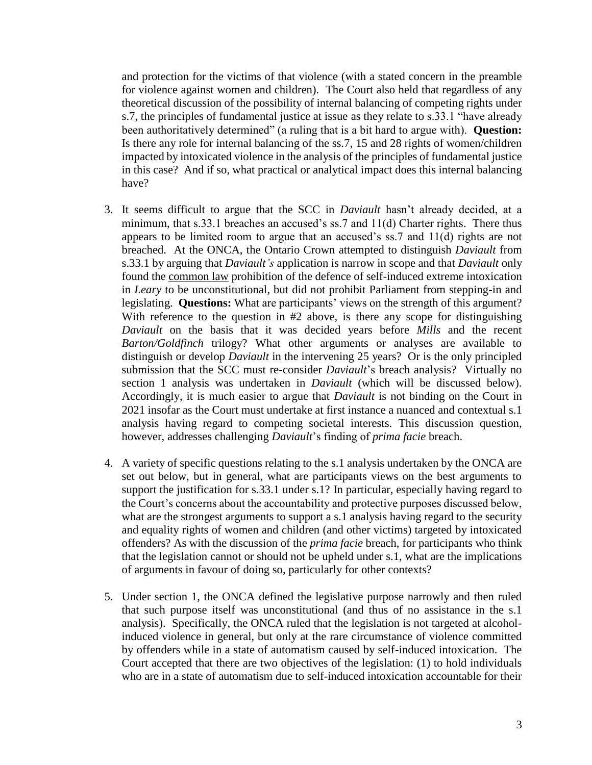and protection for the victims of that violence (with a stated concern in the preamble for violence against women and children). The Court also held that regardless of any theoretical discussion of the possibility of internal balancing of competing rights under s.7, the principles of fundamental justice at issue as they relate to s.33.1 "have already been authoritatively determined" (a ruling that is a bit hard to argue with). **Question:** Is there any role for internal balancing of the ss.7, 15 and 28 rights of women/children impacted by intoxicated violence in the analysis of the principles of fundamental justice in this case? And if so, what practical or analytical impact does this internal balancing have?

- 3. It seems difficult to argue that the SCC in *Daviault* hasn't already decided, at a minimum, that s.33.1 breaches an accused's ss.7 and 11(d) Charter rights. There thus appears to be limited room to argue that an accused's ss.7 and 11(d) rights are not breached. At the ONCA, the Ontario Crown attempted to distinguish *Daviault* from s.33.1 by arguing that *Daviault's* application is narrow in scope and that *Daviault* only found the common law prohibition of the defence of self-induced extreme intoxication in *Leary* to be unconstitutional*,* but did not prohibit Parliament from stepping-in and legislating. **Questions:** What are participants' views on the strength of this argument? With reference to the question in #2 above, is there any scope for distinguishing *Daviault* on the basis that it was decided years before *Mills* and the recent *Barton/Goldfinch* trilogy? What other arguments or analyses are available to distinguish or develop *Daviault* in the intervening 25 years? Or is the only principled submission that the SCC must re-consider *Daviault*'s breach analysis? Virtually no section 1 analysis was undertaken in *Daviault* (which will be discussed below). Accordingly, it is much easier to argue that *Daviault* is not binding on the Court in 2021 insofar as the Court must undertake at first instance a nuanced and contextual s.1 analysis having regard to competing societal interests. This discussion question, however, addresses challenging *Daviault*'s finding of *prima facie* breach.
- 4. A variety of specific questions relating to the s.1 analysis undertaken by the ONCA are set out below, but in general, what are participants views on the best arguments to support the justification for s.33.1 under s.1? In particular, especially having regard to the Court's concerns about the accountability and protective purposes discussed below, what are the strongest arguments to support a s.1 analysis having regard to the security and equality rights of women and children (and other victims) targeted by intoxicated offenders? As with the discussion of the *prima facie* breach, for participants who think that the legislation cannot or should not be upheld under s.1, what are the implications of arguments in favour of doing so, particularly for other contexts?
- 5. Under section 1, the ONCA defined the legislative purpose narrowly and then ruled that such purpose itself was unconstitutional (and thus of no assistance in the s.1 analysis). Specifically, the ONCA ruled that the legislation is not targeted at alcoholinduced violence in general, but only at the rare circumstance of violence committed by offenders while in a state of automatism caused by self-induced intoxication. The Court accepted that there are two objectives of the legislation: (1) to hold individuals who are in a state of automatism due to self-induced intoxication accountable for their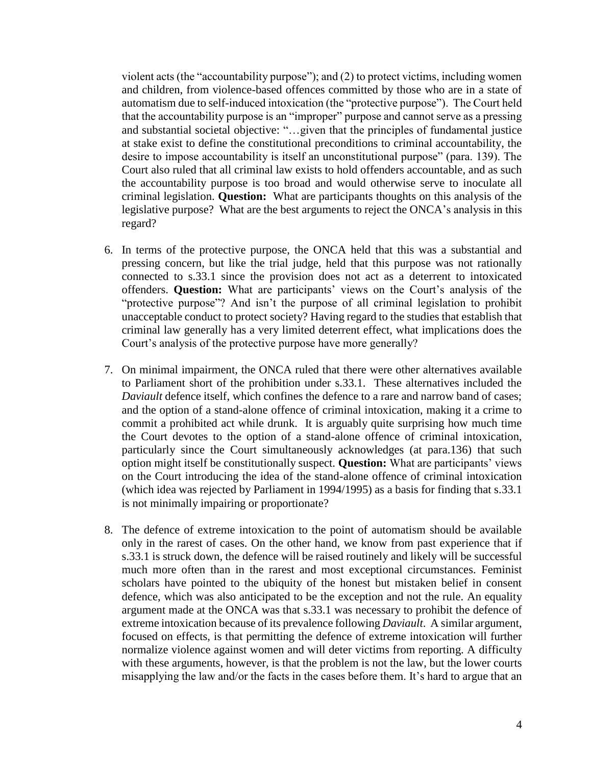violent acts (the "accountability purpose"); and (2) to protect victims, including women and children, from violence-based offences committed by those who are in a state of automatism due to self-induced intoxication (the "protective purpose"). The Court held that the accountability purpose is an "improper" purpose and cannot serve as a pressing and substantial societal objective: "…given that the principles of fundamental justice at stake exist to define the constitutional preconditions to criminal accountability, the desire to impose accountability is itself an unconstitutional purpose" (para. 139). The Court also ruled that all criminal law exists to hold offenders accountable, and as such the accountability purpose is too broad and would otherwise serve to inoculate all criminal legislation. **Question:** What are participants thoughts on this analysis of the legislative purpose? What are the best arguments to reject the ONCA's analysis in this regard?

- 6. In terms of the protective purpose, the ONCA held that this was a substantial and pressing concern, but like the trial judge, held that this purpose was not rationally connected to s.33.1 since the provision does not act as a deterrent to intoxicated offenders. **Question:** What are participants' views on the Court's analysis of the "protective purpose"? And isn't the purpose of all criminal legislation to prohibit unacceptable conduct to protect society? Having regard to the studies that establish that criminal law generally has a very limited deterrent effect, what implications does the Court's analysis of the protective purpose have more generally?
- 7. On minimal impairment, the ONCA ruled that there were other alternatives available to Parliament short of the prohibition under s.33.1. These alternatives included the *Daviault* defence itself, which confines the defence to a rare and narrow band of cases; and the option of a stand-alone offence of criminal intoxication, making it a crime to commit a prohibited act while drunk. It is arguably quite surprising how much time the Court devotes to the option of a stand-alone offence of criminal intoxication, particularly since the Court simultaneously acknowledges (at para.136) that such option might itself be constitutionally suspect. **Question:** What are participants' views on the Court introducing the idea of the stand-alone offence of criminal intoxication (which idea was rejected by Parliament in 1994/1995) as a basis for finding that s.33.1 is not minimally impairing or proportionate?
- 8. The defence of extreme intoxication to the point of automatism should be available only in the rarest of cases. On the other hand, we know from past experience that if s.33.1 is struck down, the defence will be raised routinely and likely will be successful much more often than in the rarest and most exceptional circumstances. Feminist scholars have pointed to the ubiquity of the honest but mistaken belief in consent defence, which was also anticipated to be the exception and not the rule. An equality argument made at the ONCA was that s.33.1 was necessary to prohibit the defence of extreme intoxication because of its prevalence following *Daviault*. A similar argument, focused on effects, is that permitting the defence of extreme intoxication will further normalize violence against women and will deter victims from reporting. A difficulty with these arguments, however, is that the problem is not the law, but the lower courts misapplying the law and/or the facts in the cases before them. It's hard to argue that an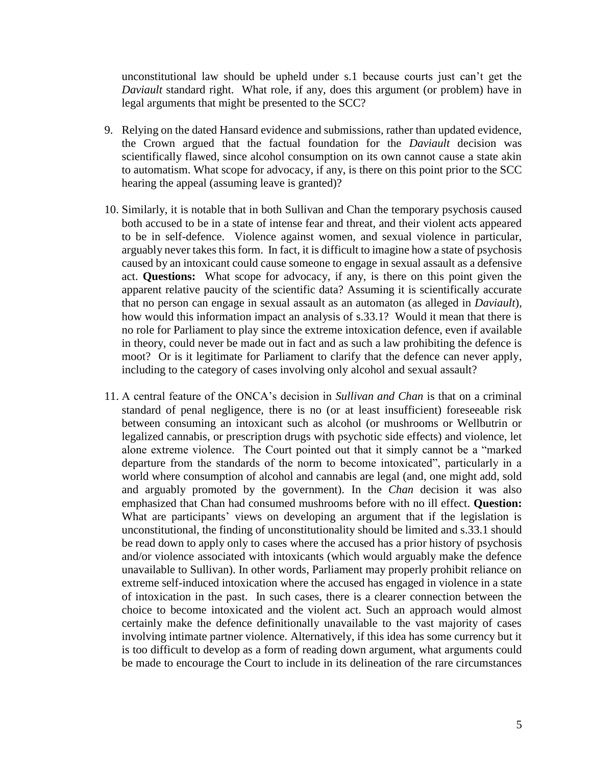unconstitutional law should be upheld under s.1 because courts just can't get the *Daviault* standard right. What role, if any, does this argument (or problem) have in legal arguments that might be presented to the SCC?

- 9. Relying on the dated Hansard evidence and submissions, rather than updated evidence, the Crown argued that the factual foundation for the *Daviault* decision was scientifically flawed, since alcohol consumption on its own cannot cause a state akin to automatism. What scope for advocacy, if any, is there on this point prior to the SCC hearing the appeal (assuming leave is granted)?
- 10. Similarly, it is notable that in both Sullivan and Chan the temporary psychosis caused both accused to be in a state of intense fear and threat, and their violent acts appeared to be in self-defence. Violence against women, and sexual violence in particular, arguably never takes this form. In fact, it is difficult to imagine how a state of psychosis caused by an intoxicant could cause someone to engage in sexual assault as a defensive act. **Questions:** What scope for advocacy, if any, is there on this point given the apparent relative paucity of the scientific data? Assuming it is scientifically accurate that no person can engage in sexual assault as an automaton (as alleged in *Daviault*), how would this information impact an analysis of s.33.1? Would it mean that there is no role for Parliament to play since the extreme intoxication defence, even if available in theory, could never be made out in fact and as such a law prohibiting the defence is moot? Or is it legitimate for Parliament to clarify that the defence can never apply, including to the category of cases involving only alcohol and sexual assault?
- 11. A central feature of the ONCA's decision in *Sullivan and Chan* is that on a criminal standard of penal negligence, there is no (or at least insufficient) foreseeable risk between consuming an intoxicant such as alcohol (or mushrooms or Wellbutrin or legalized cannabis, or prescription drugs with psychotic side effects) and violence, let alone extreme violence. The Court pointed out that it simply cannot be a "marked departure from the standards of the norm to become intoxicated", particularly in a world where consumption of alcohol and cannabis are legal (and, one might add, sold and arguably promoted by the government). In the *Chan* decision it was also emphasized that Chan had consumed mushrooms before with no ill effect. **Question:**  What are participants' views on developing an argument that if the legislation is unconstitutional, the finding of unconstitutionality should be limited and s.33.1 should be read down to apply only to cases where the accused has a prior history of psychosis and/or violence associated with intoxicants (which would arguably make the defence unavailable to Sullivan). In other words, Parliament may properly prohibit reliance on extreme self-induced intoxication where the accused has engaged in violence in a state of intoxication in the past. In such cases, there is a clearer connection between the choice to become intoxicated and the violent act. Such an approach would almost certainly make the defence definitionally unavailable to the vast majority of cases involving intimate partner violence. Alternatively, if this idea has some currency but it is too difficult to develop as a form of reading down argument, what arguments could be made to encourage the Court to include in its delineation of the rare circumstances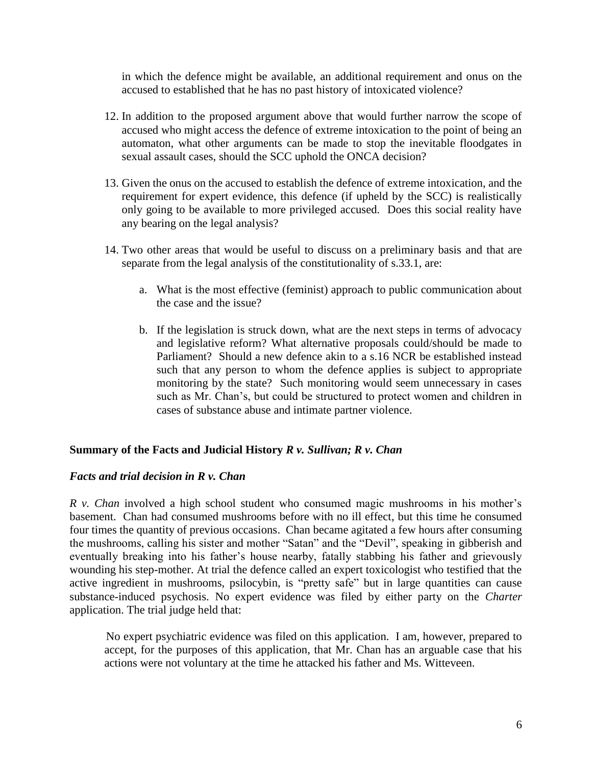in which the defence might be available, an additional requirement and onus on the accused to established that he has no past history of intoxicated violence?

- 12. In addition to the proposed argument above that would further narrow the scope of accused who might access the defence of extreme intoxication to the point of being an automaton, what other arguments can be made to stop the inevitable floodgates in sexual assault cases, should the SCC uphold the ONCA decision?
- 13. Given the onus on the accused to establish the defence of extreme intoxication, and the requirement for expert evidence, this defence (if upheld by the SCC) is realistically only going to be available to more privileged accused. Does this social reality have any bearing on the legal analysis?
- 14. Two other areas that would be useful to discuss on a preliminary basis and that are separate from the legal analysis of the constitutionality of s.33.1, are:
	- a. What is the most effective (feminist) approach to public communication about the case and the issue?
	- b. If the legislation is struck down, what are the next steps in terms of advocacy and legislative reform? What alternative proposals could/should be made to Parliament? Should a new defence akin to a s.16 NCR be established instead such that any person to whom the defence applies is subject to appropriate monitoring by the state? Such monitoring would seem unnecessary in cases such as Mr. Chan's, but could be structured to protect women and children in cases of substance abuse and intimate partner violence.

# **Summary of the Facts and Judicial History** *R v. Sullivan; R v. Chan*

# *Facts and trial decision in R v. Chan*

*R v. Chan* involved a high school student who consumed magic mushrooms in his mother's basement. Chan had consumed mushrooms before with no ill effect, but this time he consumed four times the quantity of previous occasions. Chan became agitated a few hours after consuming the mushrooms, calling his sister and mother "Satan" and the "Devil", speaking in gibberish and eventually breaking into his father's house nearby, fatally stabbing his father and grievously wounding his step-mother. At trial the defence called an expert toxicologist who testified that the active ingredient in mushrooms, psilocybin, is "pretty safe" but in large quantities can cause substance-induced psychosis. No expert evidence was filed by either party on the *Charter*  application. The trial judge held that:

No expert psychiatric evidence was filed on this application. I am, however, prepared to accept, for the purposes of this application, that Mr. Chan has an arguable case that his actions were not voluntary at the time he attacked his father and Ms. Witteveen.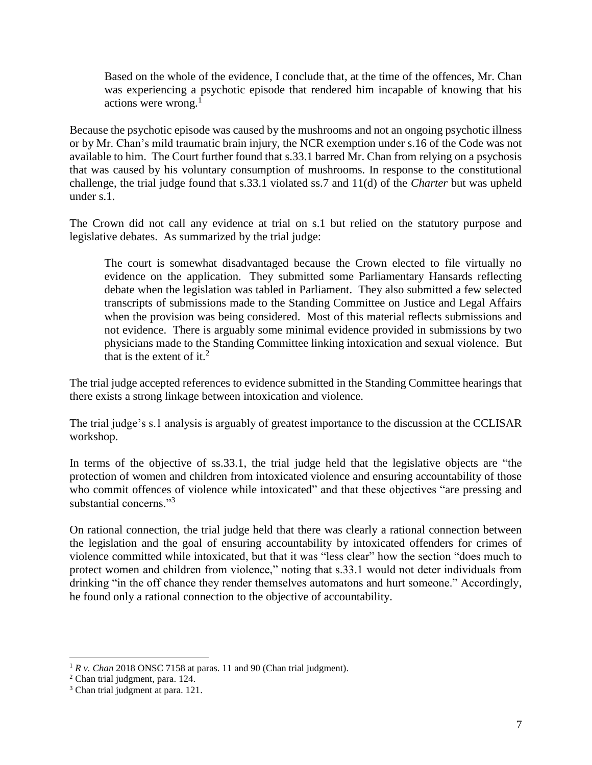Based on the whole of the evidence, I conclude that, at the time of the offences, Mr. Chan was experiencing a psychotic episode that rendered him incapable of knowing that his actions were wrong. $<sup>1</sup>$ </sup>

Because the psychotic episode was caused by the mushrooms and not an ongoing psychotic illness or by Mr. Chan's mild traumatic brain injury, the NCR exemption under s.16 of the Code was not available to him. The Court further found that s.33.1 barred Mr. Chan from relying on a psychosis that was caused by his voluntary consumption of mushrooms. In response to the constitutional challenge, the trial judge found that s.33.1 violated ss.7 and 11(d) of the *Charter* but was upheld under s.1.

The Crown did not call any evidence at trial on s.1 but relied on the statutory purpose and legislative debates. As summarized by the trial judge:

The court is somewhat disadvantaged because the Crown elected to file virtually no evidence on the application. They submitted some Parliamentary Hansards reflecting debate when the legislation was tabled in Parliament. They also submitted a few selected transcripts of submissions made to the Standing Committee on Justice and Legal Affairs when the provision was being considered. Most of this material reflects submissions and not evidence. There is arguably some minimal evidence provided in submissions by two physicians made to the Standing Committee linking intoxication and sexual violence. But that is the extent of it.<sup>2</sup>

The trial judge accepted references to evidence submitted in the Standing Committee hearings that there exists a strong linkage between intoxication and violence.

The trial judge's s.1 analysis is arguably of greatest importance to the discussion at the CCLISAR workshop.

In terms of the objective of ss.33.1, the trial judge held that the legislative objects are "the protection of women and children from intoxicated violence and ensuring accountability of those who commit offences of violence while intoxicated" and that these objectives "are pressing and substantial concerns."<sup>3</sup>

On rational connection, the trial judge held that there was clearly a rational connection between the legislation and the goal of ensuring accountability by intoxicated offenders for crimes of violence committed while intoxicated, but that it was "less clear" how the section "does much to protect women and children from violence," noting that s.33.1 would not deter individuals from drinking "in the off chance they render themselves automatons and hurt someone." Accordingly, he found only a rational connection to the objective of accountability.

 $\overline{a}$ 

 $1 R v$ . *Chan* 2018 ONSC 7158 at paras. 11 and 90 (Chan trial judgment).

<sup>2</sup> Chan trial judgment, para. 124.

<sup>&</sup>lt;sup>3</sup> Chan trial judgment at para. 121.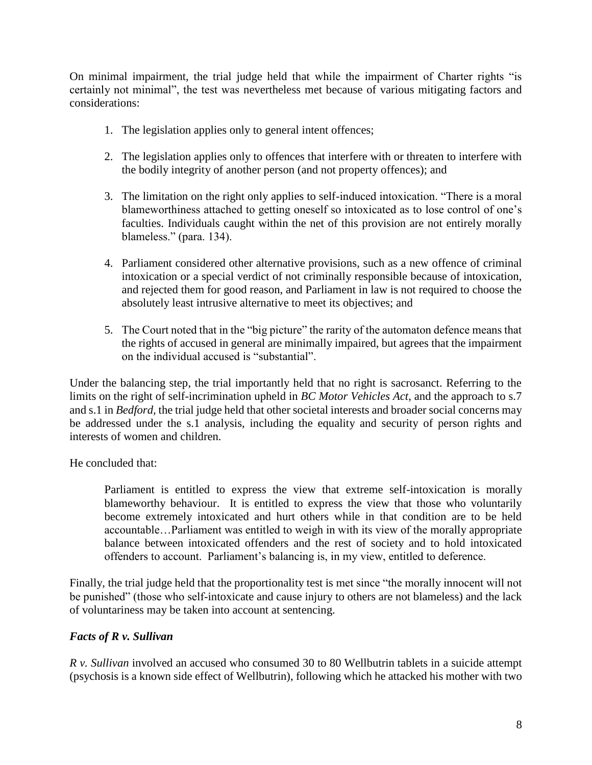On minimal impairment, the trial judge held that while the impairment of Charter rights "is certainly not minimal", the test was nevertheless met because of various mitigating factors and considerations:

- 1. The legislation applies only to general intent offences;
- 2. The legislation applies only to offences that interfere with or threaten to interfere with the bodily integrity of another person (and not property offences); and
- 3. The limitation on the right only applies to self-induced intoxication. "There is a moral blameworthiness attached to getting oneself so intoxicated as to lose control of one's faculties. Individuals caught within the net of this provision are not entirely morally blameless." (para. 134).
- 4. Parliament considered other alternative provisions, such as a new offence of criminal intoxication or a special verdict of not criminally responsible because of intoxication, and rejected them for good reason, and Parliament in law is not required to choose the absolutely least intrusive alternative to meet its objectives; and
- 5. The Court noted that in the "big picture" the rarity of the automaton defence means that the rights of accused in general are minimally impaired, but agrees that the impairment on the individual accused is "substantial".

Under the balancing step, the trial importantly held that no right is sacrosanct. Referring to the limits on the right of self-incrimination upheld in *BC Motor Vehicles Act*, and the approach to s.7 and s.1 in *Bedford,* the trial judge held that other societal interests and broader social concerns may be addressed under the s.1 analysis, including the equality and security of person rights and interests of women and children.

He concluded that:

Parliament is entitled to express the view that extreme self-intoxication is morally blameworthy behaviour. It is entitled to express the view that those who voluntarily become extremely intoxicated and hurt others while in that condition are to be held accountable…Parliament was entitled to weigh in with its view of the morally appropriate balance between intoxicated offenders and the rest of society and to hold intoxicated offenders to account. Parliament's balancing is, in my view, entitled to deference.

Finally, the trial judge held that the proportionality test is met since "the morally innocent will not be punished" (those who self-intoxicate and cause injury to others are not blameless) and the lack of voluntariness may be taken into account at sentencing.

# *Facts of R v. Sullivan*

*R v. Sullivan* involved an accused who consumed 30 to 80 Wellbutrin tablets in a suicide attempt (psychosis is a known side effect of Wellbutrin), following which he attacked his mother with two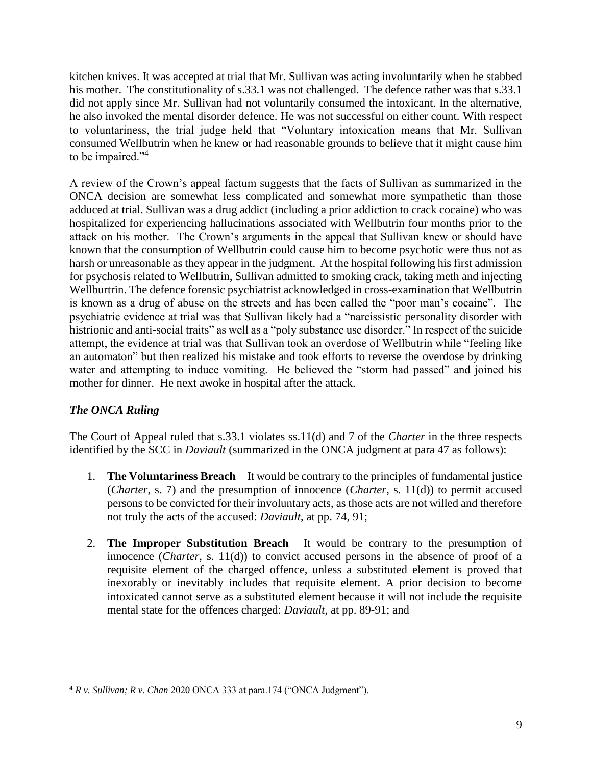kitchen knives. It was accepted at trial that Mr. Sullivan was acting involuntarily when he stabbed his mother. The constitutionality of s.33.1 was not challenged. The defence rather was that s.33.1 did not apply since Mr. Sullivan had not voluntarily consumed the intoxicant. In the alternative, he also invoked the mental disorder defence. He was not successful on either count. With respect to voluntariness, the trial judge held that "Voluntary intoxication means that Mr. Sullivan consumed Wellbutrin when he knew or had reasonable grounds to believe that it might cause him to be impaired."<sup>4</sup>

A review of the Crown's appeal factum suggests that the facts of Sullivan as summarized in the ONCA decision are somewhat less complicated and somewhat more sympathetic than those adduced at trial. Sullivan was a drug addict (including a prior addiction to crack cocaine) who was hospitalized for experiencing hallucinations associated with Wellbutrin four months prior to the attack on his mother. The Crown's arguments in the appeal that Sullivan knew or should have known that the consumption of Wellbutrin could cause him to become psychotic were thus not as harsh or unreasonable as they appear in the judgment. At the hospital following his first admission for psychosis related to Wellbutrin, Sullivan admitted to smoking crack, taking meth and injecting Wellburtrin. The defence forensic psychiatrist acknowledged in cross-examination that Wellbutrin is known as a drug of abuse on the streets and has been called the "poor man's cocaine". The psychiatric evidence at trial was that Sullivan likely had a "narcissistic personality disorder with histrionic and anti-social traits" as well as a "poly substance use disorder." In respect of the suicide attempt, the evidence at trial was that Sullivan took an overdose of Wellbutrin while "feeling like an automaton" but then realized his mistake and took efforts to reverse the overdose by drinking water and attempting to induce vomiting. He believed the "storm had passed" and joined his mother for dinner. He next awoke in hospital after the attack.

# *The ONCA Ruling*

The Court of Appeal ruled that s.33.1 violates ss.11(d) and 7 of the *Charter* in the three respects identified by the SCC in *Daviault* (summarized in the ONCA judgment at para 47 as follows):

- 1. **The Voluntariness Breach** It would be contrary to the principles of fundamental justice (*Charter*, s. 7) and the presumption of innocence (*Charter*, s. 11(d)) to permit accused persons to be convicted for their involuntary acts, as those acts are not willed and therefore not truly the acts of the accused: *Daviault*, at pp. 74, 91;
- 2. **The Improper Substitution Breach** It would be contrary to the presumption of innocence (*Charter*, s. 11(d)) to convict accused persons in the absence of proof of a requisite element of the charged offence, unless a substituted element is proved that inexorably or inevitably includes that requisite element. A prior decision to become intoxicated cannot serve as a substituted element because it will not include the requisite mental state for the offences charged: *Daviault*, at pp. 89-91; and

 $\overline{a}$ <sup>4</sup> *R v. Sullivan; R v. Chan* 2020 ONCA 333 at para.174 ("ONCA Judgment").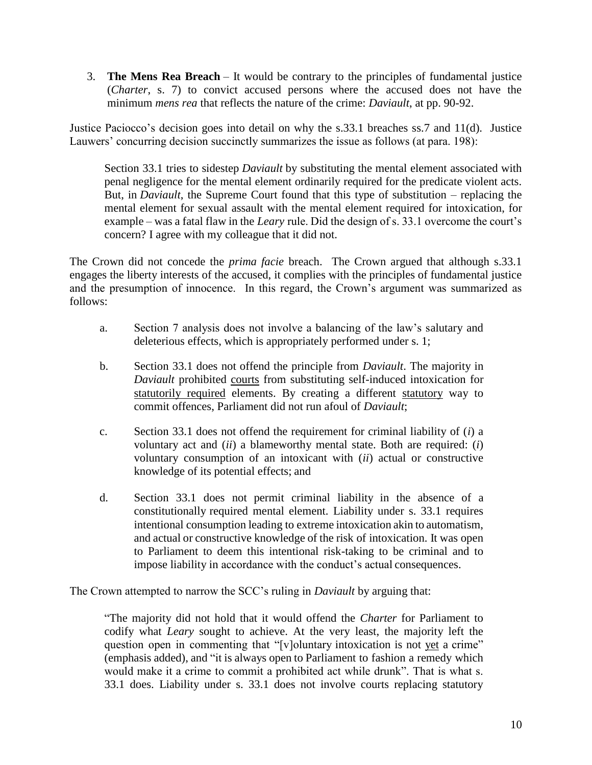3. **The Mens Rea Breach** – It would be contrary to the principles of fundamental justice (*Charter*, s. 7) to convict accused persons where the accused does not have the minimum *mens rea* that reflects the nature of the crime: *Daviault*, at pp. 90-92.

Justice Paciocco's decision goes into detail on why the s.33.1 breaches ss.7 and 11(d). Justice Lauwers' concurring decision succinctly summarizes the issue as follows (at para. 198):

Section 33.1 tries to sidestep *Daviault* by substituting the mental element associated with penal negligence for the mental element ordinarily required for the predicate violent acts. But, in *Daviault*, the Supreme Court found that this type of substitution – replacing the mental element for sexual assault with the mental element required for intoxication, for example – was a fatal flaw in the *Leary* rule. Did the design of s. 33.1 overcome the court's concern? I agree with my colleague that it did not.

The Crown did not concede the *prima facie* breach. The Crown argued that although s.33.1 engages the liberty interests of the accused, it complies with the principles of fundamental justice and the presumption of innocence. In this regard, the Crown's argument was summarized as follows:

- a. Section 7 analysis does not involve a balancing of the law's salutary and deleterious effects, which is appropriately performed under s. 1;
- b. Section 33.1 does not offend the principle from *Daviault*. The majority in *Daviault* prohibited courts from substituting self-induced intoxication for statutorily required elements. By creating a different statutory way to commit offences, Parliament did not run afoul of *Daviault*;
- c. Section 33.1 does not offend the requirement for criminal liability of (*i*) a voluntary act and (*ii*) a blameworthy mental state. Both are required: (*i*) voluntary consumption of an intoxicant with (*ii*) actual or constructive knowledge of its potential effects; and
- d. Section 33.1 does not permit criminal liability in the absence of a constitutionally required mental element. Liability under s. 33.1 requires intentional consumption leading to extreme intoxication akin to automatism, and actual or constructive knowledge of the risk of intoxication. It was open to Parliament to deem this intentional risk-taking to be criminal and to impose liability in accordance with the conduct's actual consequences.

The Crown attempted to narrow the SCC's ruling in *Daviault* by arguing that:

"The majority did not hold that it would offend the *Charter* for Parliament to codify what *Leary* sought to achieve. At the very least, the majority left the question open in commenting that "[v]oluntary intoxication is not yet a crime" (emphasis added), and "it is always open to Parliament to fashion a remedy which would make it a crime to commit a prohibited act while drunk". That is what s. 33.1 does. Liability under s. 33.1 does not involve courts replacing statutory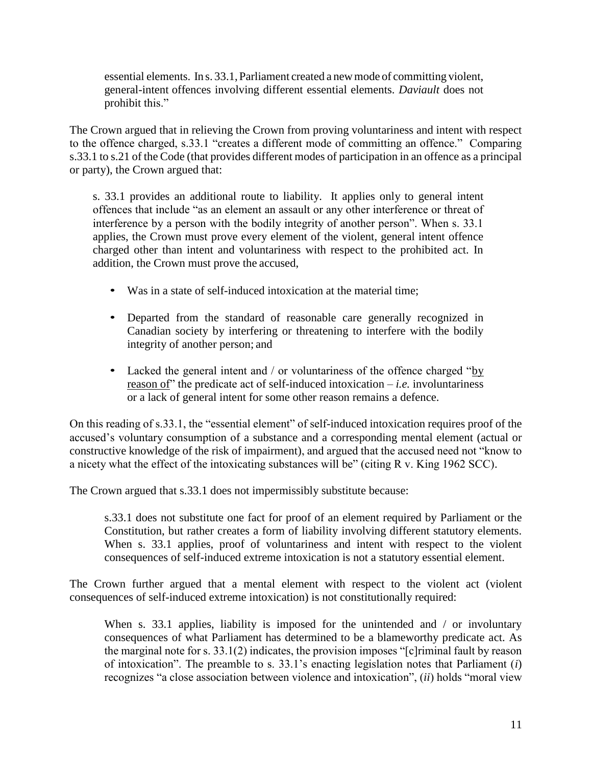essential elements. In s. 33.1, Parliament created a newmode of committing violent, general-intent offences involving different essential elements. *Daviault* does not prohibit this."

The Crown argued that in relieving the Crown from proving voluntariness and intent with respect to the offence charged, s.33.1 "creates a different mode of committing an offence." Comparing s.33.1 to s.21 of the Code (that provides different modes of participation in an offence as a principal or party), the Crown argued that:

s. 33.1 provides an additional route to liability. It applies only to general intent offences that include "as an element an assault or any other interference or threat of interference by a person with the bodily integrity of another person". When s. 33.1 applies, the Crown must prove every element of the violent, general intent offence charged other than intent and voluntariness with respect to the prohibited act. In addition, the Crown must prove the accused,

- Was in a state of self-induced intoxication at the material time;
- Departed from the standard of reasonable care generally recognized in Canadian society by interfering or threatening to interfere with the bodily integrity of another person; and
- Lacked the general intent and / or voluntariness of the offence charged "by reason of" the predicate act of self-induced intoxication – *i.e.* involuntariness or a lack of general intent for some other reason remains a defence.

On this reading of s.33.1, the "essential element" of self-induced intoxication requires proof of the accused's voluntary consumption of a substance and a corresponding mental element (actual or constructive knowledge of the risk of impairment), and argued that the accused need not "know to a nicety what the effect of the intoxicating substances will be" (citing R v. King 1962 SCC).

The Crown argued that s.33.1 does not impermissibly substitute because:

s.33.1 does not substitute one fact for proof of an element required by Parliament or the Constitution, but rather creates a form of liability involving different statutory elements. When s. 33.1 applies, proof of voluntariness and intent with respect to the violent consequences of self-induced extreme intoxication is not a statutory essential element.

The Crown further argued that a mental element with respect to the violent act (violent consequences of self-induced extreme intoxication) is not constitutionally required:

When s. 33.1 applies, liability is imposed for the unintended and  $\ell$  or involuntary consequences of what Parliament has determined to be a blameworthy predicate act. As the marginal note for s. 33.1(2) indicates, the provision imposes "[c]riminal fault by reason of intoxication". The preamble to s. 33.1's enacting legislation notes that Parliament (*i*) recognizes "a close association between violence and intoxication", (*ii*) holds "moral view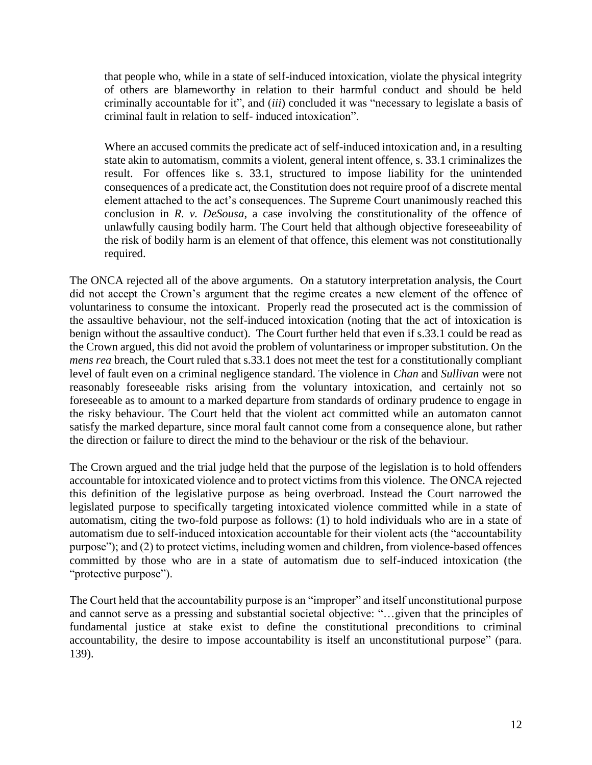that people who, while in a state of self-induced intoxication, violate the physical integrity of others are blameworthy in relation to their harmful conduct and should be held criminally accountable for it", and (*iii*) concluded it was "necessary to legislate a basis of criminal fault in relation to self- induced intoxication".

Where an accused commits the predicate act of self-induced intoxication and, in a resulting state akin to automatism, commits a violent, general intent offence, s. 33.1 criminalizes the result. For offences like s. 33.1, structured to impose liability for the unintended consequences of a predicate act, the Constitution does not require proof of a discrete mental element attached to the act's consequences. The Supreme Court unanimously reached this conclusion in *R. v. DeSousa*, a case involving the constitutionality of the offence of unlawfully causing bodily harm. The Court held that although objective foreseeability of the risk of bodily harm is an element of that offence, this element was not constitutionally required.

The ONCA rejected all of the above arguments. On a statutory interpretation analysis, the Court did not accept the Crown's argument that the regime creates a new element of the offence of voluntariness to consume the intoxicant. Properly read the prosecuted act is the commission of the assaultive behaviour, not the self-induced intoxication (noting that the act of intoxication is benign without the assaultive conduct). The Court further held that even if s.33.1 could be read as the Crown argued, this did not avoid the problem of voluntariness or improper substitution. On the *mens rea* breach, the Court ruled that s.33.1 does not meet the test for a constitutionally compliant level of fault even on a criminal negligence standard. The violence in *Chan* and *Sullivan* were not reasonably foreseeable risks arising from the voluntary intoxication, and certainly not so foreseeable as to amount to a marked departure from standards of ordinary prudence to engage in the risky behaviour. The Court held that the violent act committed while an automaton cannot satisfy the marked departure, since moral fault cannot come from a consequence alone, but rather the direction or failure to direct the mind to the behaviour or the risk of the behaviour.

The Crown argued and the trial judge held that the purpose of the legislation is to hold offenders accountable for intoxicated violence and to protect victims from this violence. The ONCA rejected this definition of the legislative purpose as being overbroad. Instead the Court narrowed the legislated purpose to specifically targeting intoxicated violence committed while in a state of automatism, citing the two-fold purpose as follows: (1) to hold individuals who are in a state of automatism due to self-induced intoxication accountable for their violent acts (the "accountability purpose"); and (2) to protect victims, including women and children, from violence-based offences committed by those who are in a state of automatism due to self-induced intoxication (the "protective purpose").

The Court held that the accountability purpose is an "improper" and itself unconstitutional purpose and cannot serve as a pressing and substantial societal objective: "…given that the principles of fundamental justice at stake exist to define the constitutional preconditions to criminal accountability, the desire to impose accountability is itself an unconstitutional purpose" (para. 139).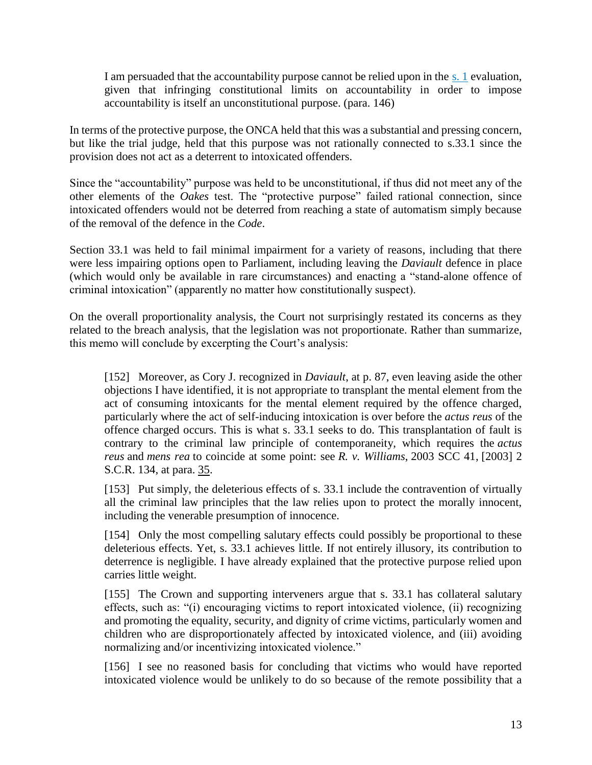I am persuaded that the accountability purpose cannot be relied upon in the [s. 1](https://www.canlii.org/en/ca/laws/stat/schedule-b-to-the-canada-act-1982-uk-1982-c-11/latest/schedule-b-to-the-canada-act-1982-uk-1982-c-11.html#sec1_smooth) evaluation, given that infringing constitutional limits on accountability in order to impose accountability is itself an unconstitutional purpose. (para. 146)

In terms of the protective purpose, the ONCA held that this was a substantial and pressing concern, but like the trial judge, held that this purpose was not rationally connected to s.33.1 since the provision does not act as a deterrent to intoxicated offenders.

Since the "accountability" purpose was held to be unconstitutional, if thus did not meet any of the other elements of the *Oakes* test. The "protective purpose" failed rational connection, since intoxicated offenders would not be deterred from reaching a state of automatism simply because of the removal of the defence in the *Code*.

Section 33.1 was held to fail minimal impairment for a variety of reasons, including that there were less impairing options open to Parliament, including leaving the *Daviault* defence in place (which would only be available in rare circumstances) and enacting a "stand-alone offence of criminal intoxication" (apparently no matter how constitutionally suspect).

On the overall proportionality analysis, the Court not surprisingly restated its concerns as they related to the breach analysis, that the legislation was not proportionate. Rather than summarize, this memo will conclude by excerpting the Court's analysis:

[152] Moreover, as Cory J. recognized in *Daviault*, at p. 87, even leaving aside the other objections I have identified, it is not appropriate to transplant the mental element from the act of consuming intoxicants for the mental element required by the offence charged, particularly where the act of self-inducing intoxication is over before the *actus reus* of the offence charged occurs. This is what s. 33.1 seeks to do. This transplantation of fault is contrary to the criminal law principle of contemporaneity, which requires the *actus reus* and *mens rea* to coincide at some point: see *R. v. Williams*, [2003 SCC 41,](https://www.canlii.org/en/ca/scc/doc/2003/2003scc41/2003scc41.html) [2003] 2 S.C.R. 134, at para. [35.](https://www.canlii.org/en/ca/scc/doc/2003/2003scc41/2003scc41.html#par35)

[153] Put simply, the deleterious effects of s. 33.1 include the contravention of virtually all the criminal law principles that the law relies upon to protect the morally innocent, including the venerable presumption of innocence.

[154] Only the most compelling salutary effects could possibly be proportional to these deleterious effects. Yet, s. 33.1 achieves little. If not entirely illusory, its contribution to deterrence is negligible. I have already explained that the protective purpose relied upon carries little weight.

[155] The Crown and supporting interveners argue that s. 33.1 has collateral salutary effects, such as: "(i) encouraging victims to report intoxicated violence, (ii) recognizing and promoting the equality, security, and dignity of crime victims, particularly women and children who are disproportionately affected by intoxicated violence, and (iii) avoiding normalizing and/or incentivizing intoxicated violence."

[156] I see no reasoned basis for concluding that victims who would have reported intoxicated violence would be unlikely to do so because of the remote possibility that a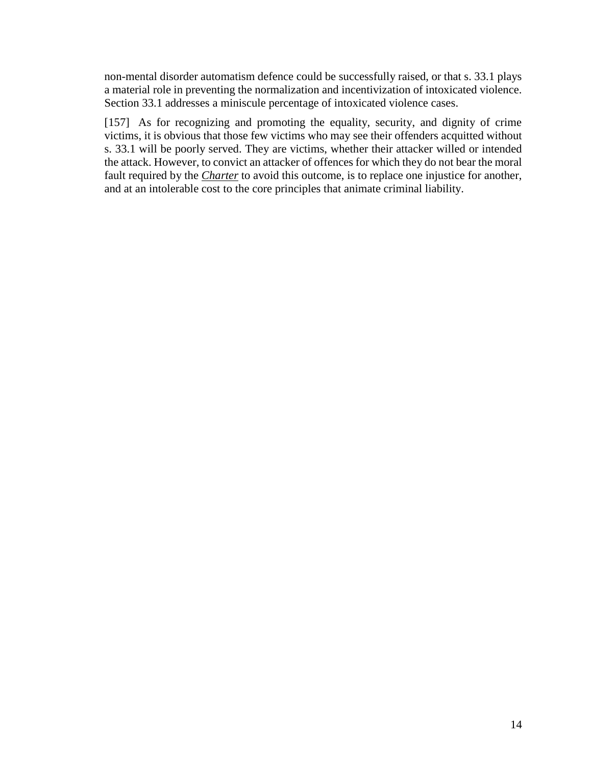non-mental disorder automatism defence could be successfully raised, or that s. 33.1 plays a material role in preventing the normalization and incentivization of intoxicated violence. Section 33.1 addresses a miniscule percentage of intoxicated violence cases.

[157] As for recognizing and promoting the equality, security, and dignity of crime victims, it is obvious that those few victims who may see their offenders acquitted without s. 33.1 will be poorly served. They are victims, whether their attacker willed or intended the attack. However, to convict an attacker of offences for which they do not bear the moral fault required by the *[Charter](https://www.canlii.org/en/ca/laws/stat/schedule-b-to-the-canada-act-1982-uk-1982-c-11/latest/schedule-b-to-the-canada-act-1982-uk-1982-c-11.html)* to avoid this outcome, is to replace one injustice for another, and at an intolerable cost to the core principles that animate criminal liability.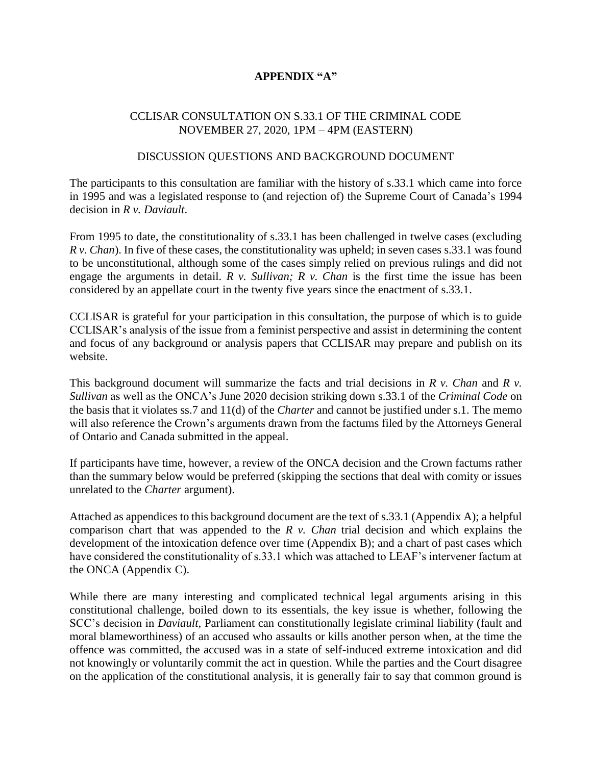# **APPENDIX "A"**

# CCLISAR CONSULTATION ON S.33.1 OF THE CRIMINAL CODE NOVEMBER 27, 2020, 1PM – 4PM (EASTERN)

# DISCUSSION QUESTIONS AND BACKGROUND DOCUMENT

The participants to this consultation are familiar with the history of s.33.1 which came into force in 1995 and was a legislated response to (and rejection of) the Supreme Court of Canada's 1994 decision in *R v. Daviault*.

From 1995 to date, the constitutionality of s.33.1 has been challenged in twelve cases (excluding *R v. Chan*). In five of these cases, the constitutionality was upheld; in seven cases s.33.1 was found to be unconstitutional, although some of the cases simply relied on previous rulings and did not engage the arguments in detail. *R v. Sullivan; R v. Chan* is the first time the issue has been considered by an appellate court in the twenty five years since the enactment of s.33.1.

CCLISAR is grateful for your participation in this consultation, the purpose of which is to guide CCLISAR's analysis of the issue from a feminist perspective and assist in determining the content and focus of any background or analysis papers that CCLISAR may prepare and publish on its website.

This background document will summarize the facts and trial decisions in *R v. Chan* and *R v. Sullivan* as well as the ONCA's June 2020 decision striking down s.33.1 of the *Criminal Code* on the basis that it violates ss.7 and 11(d) of the *Charter* and cannot be justified under s.1. The memo will also reference the Crown's arguments drawn from the factums filed by the Attorneys General of Ontario and Canada submitted in the appeal.

If participants have time, however, a review of the ONCA decision and the Crown factums rather than the summary below would be preferred (skipping the sections that deal with comity or issues unrelated to the *Charter* argument).

Attached as appendices to this background document are the text of s.33.1 (Appendix A); a helpful comparison chart that was appended to the *R v. Chan* trial decision and which explains the development of the intoxication defence over time (Appendix B); and a chart of past cases which have considered the constitutionality of s.33.1 which was attached to LEAF's intervener factum at the ONCA (Appendix C).

While there are many interesting and complicated technical legal arguments arising in this constitutional challenge, boiled down to its essentials, the key issue is whether, following the SCC's decision in *Daviault,* Parliament can constitutionally legislate criminal liability (fault and moral blameworthiness) of an accused who assaults or kills another person when, at the time the offence was committed, the accused was in a state of self-induced extreme intoxication and did not knowingly or voluntarily commit the act in question. While the parties and the Court disagree on the application of the constitutional analysis, it is generally fair to say that common ground is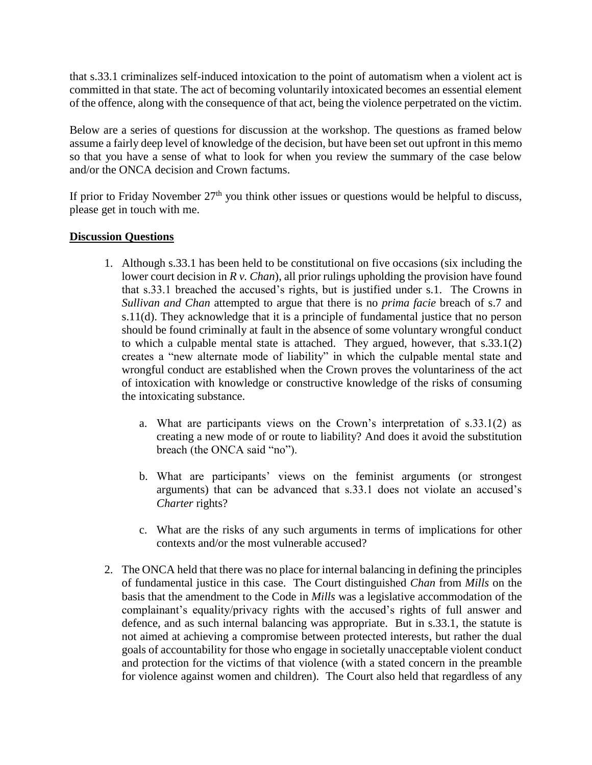that s.33.1 criminalizes self-induced intoxication to the point of automatism when a violent act is committed in that state. The act of becoming voluntarily intoxicated becomes an essential element of the offence, along with the consequence of that act, being the violence perpetrated on the victim.

Below are a series of questions for discussion at the workshop. The questions as framed below assume a fairly deep level of knowledge of the decision, but have been set out upfront in this memo so that you have a sense of what to look for when you review the summary of the case below and/or the ONCA decision and Crown factums.

If prior to Friday November  $27<sup>th</sup>$  you think other issues or questions would be helpful to discuss, please get in touch with me.

# **Discussion Questions**

- 1. Although s.33.1 has been held to be constitutional on five occasions (six including the lower court decision in *R v. Chan*), all prior rulings upholding the provision have found that s.33.1 breached the accused's rights, but is justified under s.1. The Crowns in *Sullivan and Chan* attempted to argue that there is no *prima facie* breach of s.7 and s.11(d). They acknowledge that it is a principle of fundamental justice that no person should be found criminally at fault in the absence of some voluntary wrongful conduct to which a culpable mental state is attached. They argued, however, that s.33.1(2) creates a "new alternate mode of liability" in which the culpable mental state and wrongful conduct are established when the Crown proves the voluntariness of the act of intoxication with knowledge or constructive knowledge of the risks of consuming the intoxicating substance.
	- a. What are participants views on the Crown's interpretation of s.33.1(2) as creating a new mode of or route to liability? And does it avoid the substitution breach (the ONCA said "no").
	- b. What are participants' views on the feminist arguments (or strongest arguments) that can be advanced that s.33.1 does not violate an accused's *Charter* rights?
	- c. What are the risks of any such arguments in terms of implications for other contexts and/or the most vulnerable accused?
- 2. The ONCA held that there was no place for internal balancing in defining the principles of fundamental justice in this case. The Court distinguished *Chan* from *Mills* on the basis that the amendment to the Code in *Mills* was a legislative accommodation of the complainant's equality/privacy rights with the accused's rights of full answer and defence, and as such internal balancing was appropriate. But in s.33.1, the statute is not aimed at achieving a compromise between protected interests, but rather the dual goals of accountability for those who engage in societally unacceptable violent conduct and protection for the victims of that violence (with a stated concern in the preamble for violence against women and children). The Court also held that regardless of any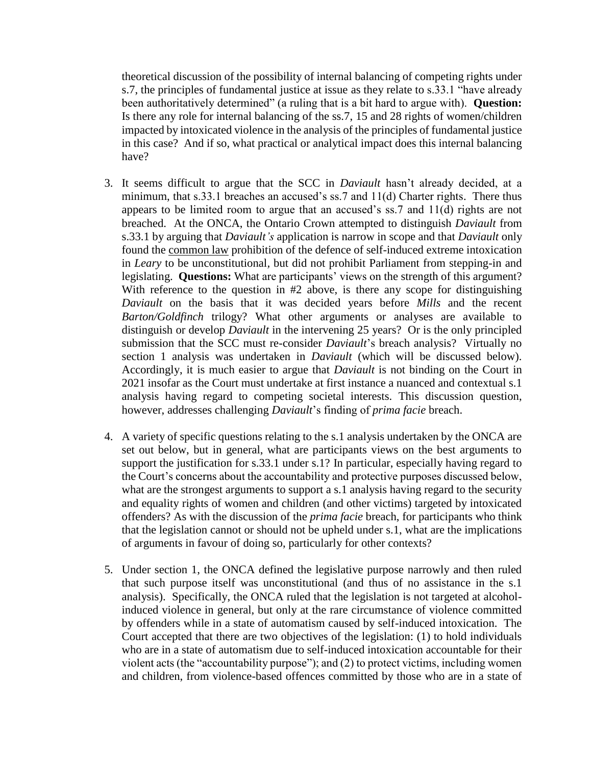theoretical discussion of the possibility of internal balancing of competing rights under s.7, the principles of fundamental justice at issue as they relate to s.33.1 "have already been authoritatively determined" (a ruling that is a bit hard to argue with). **Question:** Is there any role for internal balancing of the ss.7, 15 and 28 rights of women/children impacted by intoxicated violence in the analysis of the principles of fundamental justice in this case? And if so, what practical or analytical impact does this internal balancing have?

- 3. It seems difficult to argue that the SCC in *Daviault* hasn't already decided, at a minimum, that s.33.1 breaches an accused's ss.7 and 11(d) Charter rights. There thus appears to be limited room to argue that an accused's ss.7 and 11(d) rights are not breached. At the ONCA, the Ontario Crown attempted to distinguish *Daviault* from s.33.1 by arguing that *Daviault's* application is narrow in scope and that *Daviault* only found the common law prohibition of the defence of self-induced extreme intoxication in *Leary* to be unconstitutional*,* but did not prohibit Parliament from stepping-in and legislating. **Questions:** What are participants' views on the strength of this argument? With reference to the question in #2 above, is there any scope for distinguishing *Daviault* on the basis that it was decided years before *Mills* and the recent *Barton/Goldfinch* trilogy? What other arguments or analyses are available to distinguish or develop *Daviault* in the intervening 25 years? Or is the only principled submission that the SCC must re-consider *Daviault*'s breach analysis? Virtually no section 1 analysis was undertaken in *Daviault* (which will be discussed below). Accordingly, it is much easier to argue that *Daviault* is not binding on the Court in 2021 insofar as the Court must undertake at first instance a nuanced and contextual s.1 analysis having regard to competing societal interests. This discussion question, however, addresses challenging *Daviault*'s finding of *prima facie* breach.
- 4. A variety of specific questions relating to the s.1 analysis undertaken by the ONCA are set out below, but in general, what are participants views on the best arguments to support the justification for s.33.1 under s.1? In particular, especially having regard to the Court's concerns about the accountability and protective purposes discussed below, what are the strongest arguments to support a s.1 analysis having regard to the security and equality rights of women and children (and other victims) targeted by intoxicated offenders? As with the discussion of the *prima facie* breach, for participants who think that the legislation cannot or should not be upheld under s.1, what are the implications of arguments in favour of doing so, particularly for other contexts?
- 5. Under section 1, the ONCA defined the legislative purpose narrowly and then ruled that such purpose itself was unconstitutional (and thus of no assistance in the s.1 analysis). Specifically, the ONCA ruled that the legislation is not targeted at alcoholinduced violence in general, but only at the rare circumstance of violence committed by offenders while in a state of automatism caused by self-induced intoxication. The Court accepted that there are two objectives of the legislation: (1) to hold individuals who are in a state of automatism due to self-induced intoxication accountable for their violent acts (the "accountability purpose"); and (2) to protect victims, including women and children, from violence-based offences committed by those who are in a state of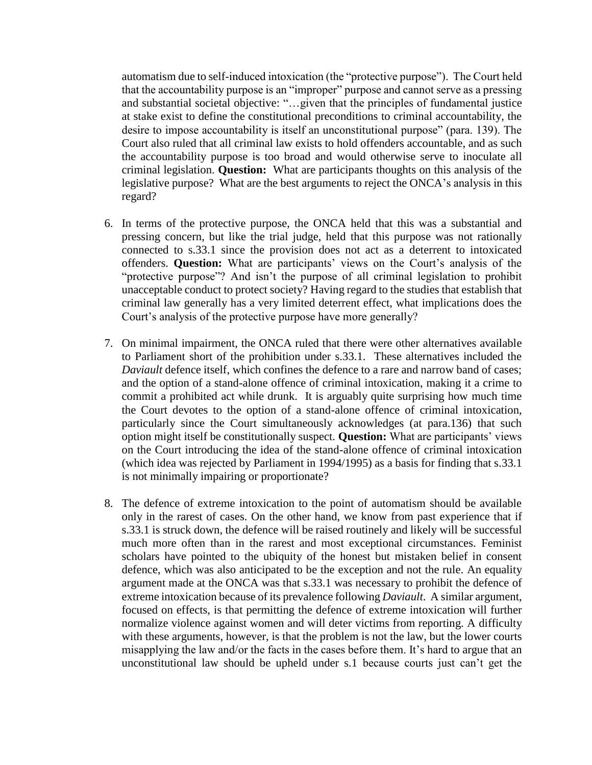automatism due to self-induced intoxication (the "protective purpose"). The Court held that the accountability purpose is an "improper" purpose and cannot serve as a pressing and substantial societal objective: "…given that the principles of fundamental justice at stake exist to define the constitutional preconditions to criminal accountability, the desire to impose accountability is itself an unconstitutional purpose" (para. 139). The Court also ruled that all criminal law exists to hold offenders accountable, and as such the accountability purpose is too broad and would otherwise serve to inoculate all criminal legislation. **Question:** What are participants thoughts on this analysis of the legislative purpose? What are the best arguments to reject the ONCA's analysis in this regard?

- 6. In terms of the protective purpose, the ONCA held that this was a substantial and pressing concern, but like the trial judge, held that this purpose was not rationally connected to s.33.1 since the provision does not act as a deterrent to intoxicated offenders. **Question:** What are participants' views on the Court's analysis of the "protective purpose"? And isn't the purpose of all criminal legislation to prohibit unacceptable conduct to protect society? Having regard to the studies that establish that criminal law generally has a very limited deterrent effect, what implications does the Court's analysis of the protective purpose have more generally?
- 7. On minimal impairment, the ONCA ruled that there were other alternatives available to Parliament short of the prohibition under s.33.1. These alternatives included the *Daviault* defence itself, which confines the defence to a rare and narrow band of cases; and the option of a stand-alone offence of criminal intoxication, making it a crime to commit a prohibited act while drunk. It is arguably quite surprising how much time the Court devotes to the option of a stand-alone offence of criminal intoxication, particularly since the Court simultaneously acknowledges (at para.136) that such option might itself be constitutionally suspect. **Question:** What are participants' views on the Court introducing the idea of the stand-alone offence of criminal intoxication (which idea was rejected by Parliament in 1994/1995) as a basis for finding that s.33.1 is not minimally impairing or proportionate?
- 8. The defence of extreme intoxication to the point of automatism should be available only in the rarest of cases. On the other hand, we know from past experience that if s.33.1 is struck down, the defence will be raised routinely and likely will be successful much more often than in the rarest and most exceptional circumstances. Feminist scholars have pointed to the ubiquity of the honest but mistaken belief in consent defence, which was also anticipated to be the exception and not the rule. An equality argument made at the ONCA was that s.33.1 was necessary to prohibit the defence of extreme intoxication because of its prevalence following *Daviault*. A similar argument, focused on effects, is that permitting the defence of extreme intoxication will further normalize violence against women and will deter victims from reporting. A difficulty with these arguments, however, is that the problem is not the law, but the lower courts misapplying the law and/or the facts in the cases before them. It's hard to argue that an unconstitutional law should be upheld under s.1 because courts just can't get the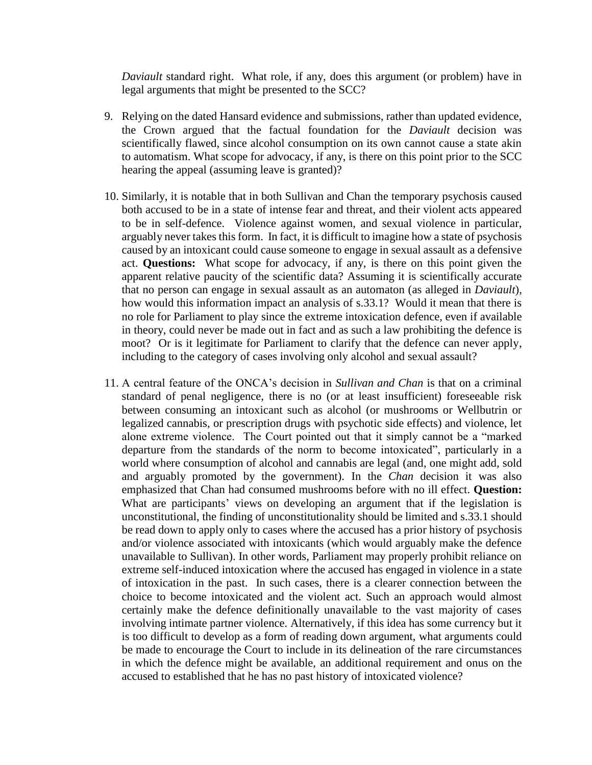*Daviault* standard right. What role, if any, does this argument (or problem) have in legal arguments that might be presented to the SCC?

- 9. Relying on the dated Hansard evidence and submissions, rather than updated evidence, the Crown argued that the factual foundation for the *Daviault* decision was scientifically flawed, since alcohol consumption on its own cannot cause a state akin to automatism. What scope for advocacy, if any, is there on this point prior to the SCC hearing the appeal (assuming leave is granted)?
- 10. Similarly, it is notable that in both Sullivan and Chan the temporary psychosis caused both accused to be in a state of intense fear and threat, and their violent acts appeared to be in self-defence. Violence against women, and sexual violence in particular, arguably never takes this form. In fact, it is difficult to imagine how a state of psychosis caused by an intoxicant could cause someone to engage in sexual assault as a defensive act. **Questions:** What scope for advocacy, if any, is there on this point given the apparent relative paucity of the scientific data? Assuming it is scientifically accurate that no person can engage in sexual assault as an automaton (as alleged in *Daviault*), how would this information impact an analysis of s.33.1? Would it mean that there is no role for Parliament to play since the extreme intoxication defence, even if available in theory, could never be made out in fact and as such a law prohibiting the defence is moot? Or is it legitimate for Parliament to clarify that the defence can never apply, including to the category of cases involving only alcohol and sexual assault?
- 11. A central feature of the ONCA's decision in *Sullivan and Chan* is that on a criminal standard of penal negligence, there is no (or at least insufficient) foreseeable risk between consuming an intoxicant such as alcohol (or mushrooms or Wellbutrin or legalized cannabis, or prescription drugs with psychotic side effects) and violence, let alone extreme violence. The Court pointed out that it simply cannot be a "marked departure from the standards of the norm to become intoxicated", particularly in a world where consumption of alcohol and cannabis are legal (and, one might add, sold and arguably promoted by the government). In the *Chan* decision it was also emphasized that Chan had consumed mushrooms before with no ill effect. **Question:**  What are participants' views on developing an argument that if the legislation is unconstitutional, the finding of unconstitutionality should be limited and s.33.1 should be read down to apply only to cases where the accused has a prior history of psychosis and/or violence associated with intoxicants (which would arguably make the defence unavailable to Sullivan). In other words, Parliament may properly prohibit reliance on extreme self-induced intoxication where the accused has engaged in violence in a state of intoxication in the past. In such cases, there is a clearer connection between the choice to become intoxicated and the violent act. Such an approach would almost certainly make the defence definitionally unavailable to the vast majority of cases involving intimate partner violence. Alternatively, if this idea has some currency but it is too difficult to develop as a form of reading down argument, what arguments could be made to encourage the Court to include in its delineation of the rare circumstances in which the defence might be available, an additional requirement and onus on the accused to established that he has no past history of intoxicated violence?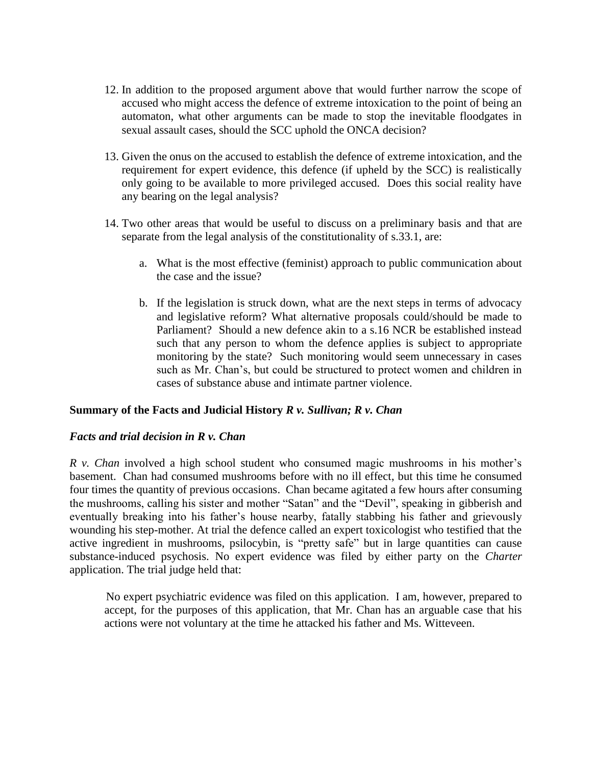- 12. In addition to the proposed argument above that would further narrow the scope of accused who might access the defence of extreme intoxication to the point of being an automaton, what other arguments can be made to stop the inevitable floodgates in sexual assault cases, should the SCC uphold the ONCA decision?
- 13. Given the onus on the accused to establish the defence of extreme intoxication, and the requirement for expert evidence, this defence (if upheld by the SCC) is realistically only going to be available to more privileged accused. Does this social reality have any bearing on the legal analysis?
- 14. Two other areas that would be useful to discuss on a preliminary basis and that are separate from the legal analysis of the constitutionality of s.33.1, are:
	- a. What is the most effective (feminist) approach to public communication about the case and the issue?
	- b. If the legislation is struck down, what are the next steps in terms of advocacy and legislative reform? What alternative proposals could/should be made to Parliament? Should a new defence akin to a s.16 NCR be established instead such that any person to whom the defence applies is subject to appropriate monitoring by the state? Such monitoring would seem unnecessary in cases such as Mr. Chan's, but could be structured to protect women and children in cases of substance abuse and intimate partner violence.

# **Summary of the Facts and Judicial History** *R v. Sullivan; R v. Chan*

# *Facts and trial decision in R v. Chan*

*R v. Chan* involved a high school student who consumed magic mushrooms in his mother's basement. Chan had consumed mushrooms before with no ill effect, but this time he consumed four times the quantity of previous occasions. Chan became agitated a few hours after consuming the mushrooms, calling his sister and mother "Satan" and the "Devil", speaking in gibberish and eventually breaking into his father's house nearby, fatally stabbing his father and grievously wounding his step-mother. At trial the defence called an expert toxicologist who testified that the active ingredient in mushrooms, psilocybin, is "pretty safe" but in large quantities can cause substance-induced psychosis. No expert evidence was filed by either party on the *Charter*  application. The trial judge held that:

No expert psychiatric evidence was filed on this application. I am, however, prepared to accept, for the purposes of this application, that Mr. Chan has an arguable case that his actions were not voluntary at the time he attacked his father and Ms. Witteveen.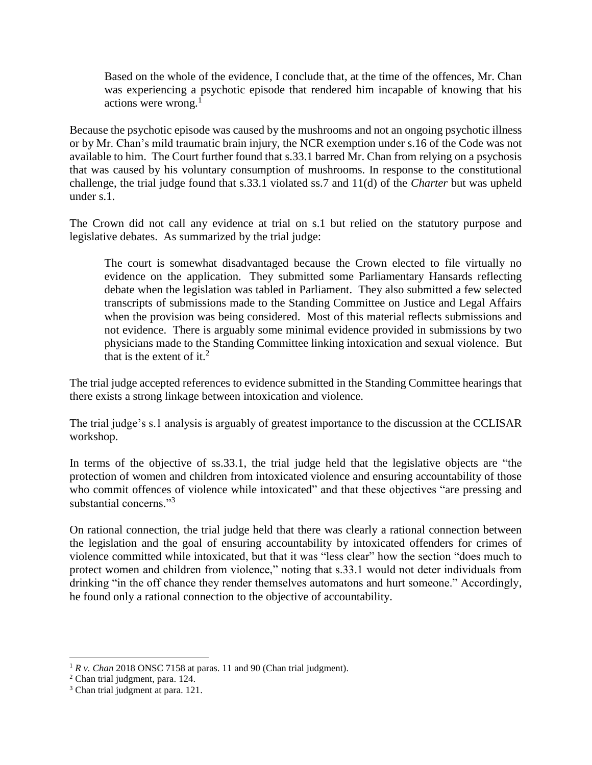Based on the whole of the evidence, I conclude that, at the time of the offences, Mr. Chan was experiencing a psychotic episode that rendered him incapable of knowing that his actions were wrong. $<sup>1</sup>$ </sup>

Because the psychotic episode was caused by the mushrooms and not an ongoing psychotic illness or by Mr. Chan's mild traumatic brain injury, the NCR exemption under s.16 of the Code was not available to him. The Court further found that s.33.1 barred Mr. Chan from relying on a psychosis that was caused by his voluntary consumption of mushrooms. In response to the constitutional challenge, the trial judge found that s.33.1 violated ss.7 and 11(d) of the *Charter* but was upheld under s.1.

The Crown did not call any evidence at trial on s.1 but relied on the statutory purpose and legislative debates. As summarized by the trial judge:

The court is somewhat disadvantaged because the Crown elected to file virtually no evidence on the application. They submitted some Parliamentary Hansards reflecting debate when the legislation was tabled in Parliament. They also submitted a few selected transcripts of submissions made to the Standing Committee on Justice and Legal Affairs when the provision was being considered. Most of this material reflects submissions and not evidence. There is arguably some minimal evidence provided in submissions by two physicians made to the Standing Committee linking intoxication and sexual violence. But that is the extent of it.<sup>2</sup>

The trial judge accepted references to evidence submitted in the Standing Committee hearings that there exists a strong linkage between intoxication and violence.

The trial judge's s.1 analysis is arguably of greatest importance to the discussion at the CCLISAR workshop.

In terms of the objective of ss.33.1, the trial judge held that the legislative objects are "the protection of women and children from intoxicated violence and ensuring accountability of those who commit offences of violence while intoxicated" and that these objectives "are pressing and substantial concerns."<sup>3</sup>

On rational connection, the trial judge held that there was clearly a rational connection between the legislation and the goal of ensuring accountability by intoxicated offenders for crimes of violence committed while intoxicated, but that it was "less clear" how the section "does much to protect women and children from violence," noting that s.33.1 would not deter individuals from drinking "in the off chance they render themselves automatons and hurt someone." Accordingly, he found only a rational connection to the objective of accountability.

 $\overline{a}$ 

 $1 R v$ . *Chan* 2018 ONSC 7158 at paras. 11 and 90 (Chan trial judgment).

<sup>2</sup> Chan trial judgment, para. 124.

<sup>&</sup>lt;sup>3</sup> Chan trial judgment at para. 121.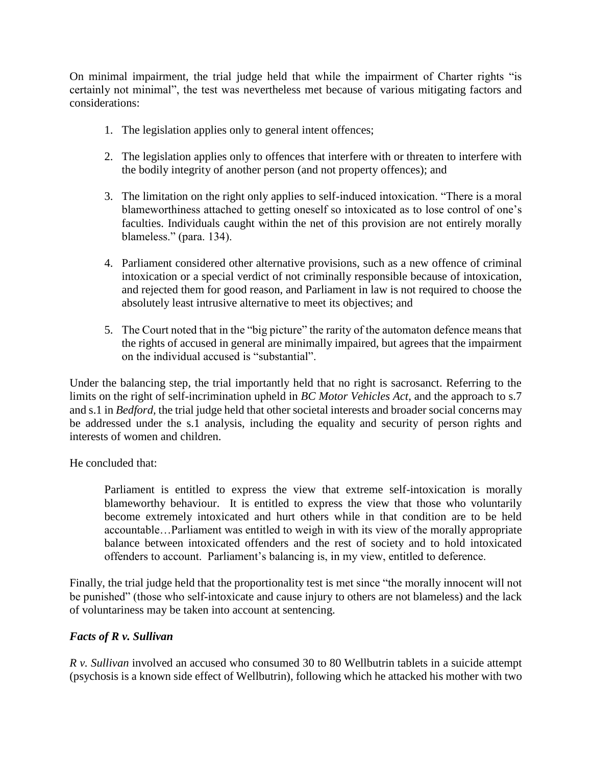On minimal impairment, the trial judge held that while the impairment of Charter rights "is certainly not minimal", the test was nevertheless met because of various mitigating factors and considerations:

- 1. The legislation applies only to general intent offences;
- 2. The legislation applies only to offences that interfere with or threaten to interfere with the bodily integrity of another person (and not property offences); and
- 3. The limitation on the right only applies to self-induced intoxication. "There is a moral blameworthiness attached to getting oneself so intoxicated as to lose control of one's faculties. Individuals caught within the net of this provision are not entirely morally blameless." (para. 134).
- 4. Parliament considered other alternative provisions, such as a new offence of criminal intoxication or a special verdict of not criminally responsible because of intoxication, and rejected them for good reason, and Parliament in law is not required to choose the absolutely least intrusive alternative to meet its objectives; and
- 5. The Court noted that in the "big picture" the rarity of the automaton defence means that the rights of accused in general are minimally impaired, but agrees that the impairment on the individual accused is "substantial".

Under the balancing step, the trial importantly held that no right is sacrosanct. Referring to the limits on the right of self-incrimination upheld in *BC Motor Vehicles Act*, and the approach to s.7 and s.1 in *Bedford,* the trial judge held that other societal interests and broader social concerns may be addressed under the s.1 analysis, including the equality and security of person rights and interests of women and children.

He concluded that:

Parliament is entitled to express the view that extreme self-intoxication is morally blameworthy behaviour. It is entitled to express the view that those who voluntarily become extremely intoxicated and hurt others while in that condition are to be held accountable…Parliament was entitled to weigh in with its view of the morally appropriate balance between intoxicated offenders and the rest of society and to hold intoxicated offenders to account. Parliament's balancing is, in my view, entitled to deference.

Finally, the trial judge held that the proportionality test is met since "the morally innocent will not be punished" (those who self-intoxicate and cause injury to others are not blameless) and the lack of voluntariness may be taken into account at sentencing.

# *Facts of R v. Sullivan*

*R v. Sullivan* involved an accused who consumed 30 to 80 Wellbutrin tablets in a suicide attempt (psychosis is a known side effect of Wellbutrin), following which he attacked his mother with two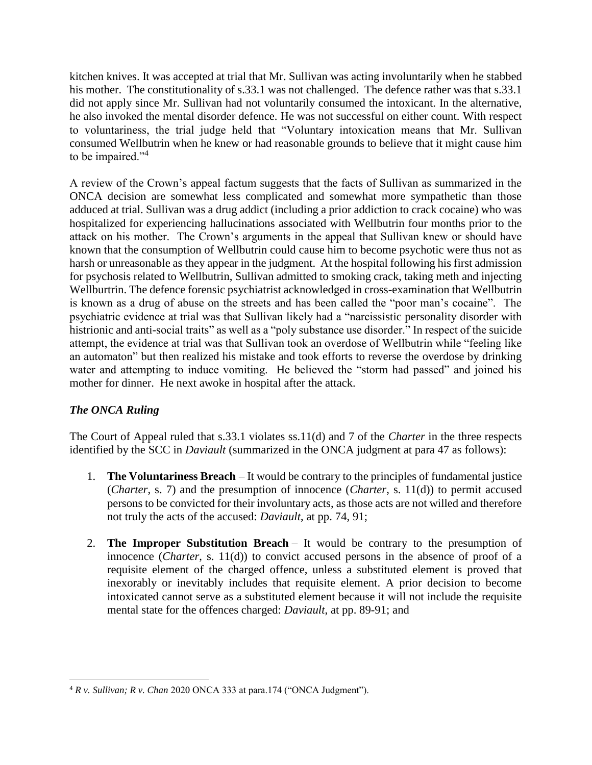kitchen knives. It was accepted at trial that Mr. Sullivan was acting involuntarily when he stabbed his mother. The constitutionality of s.33.1 was not challenged. The defence rather was that s.33.1 did not apply since Mr. Sullivan had not voluntarily consumed the intoxicant. In the alternative, he also invoked the mental disorder defence. He was not successful on either count. With respect to voluntariness, the trial judge held that "Voluntary intoxication means that Mr. Sullivan consumed Wellbutrin when he knew or had reasonable grounds to believe that it might cause him to be impaired."<sup>4</sup>

A review of the Crown's appeal factum suggests that the facts of Sullivan as summarized in the ONCA decision are somewhat less complicated and somewhat more sympathetic than those adduced at trial. Sullivan was a drug addict (including a prior addiction to crack cocaine) who was hospitalized for experiencing hallucinations associated with Wellbutrin four months prior to the attack on his mother. The Crown's arguments in the appeal that Sullivan knew or should have known that the consumption of Wellbutrin could cause him to become psychotic were thus not as harsh or unreasonable as they appear in the judgment. At the hospital following his first admission for psychosis related to Wellbutrin, Sullivan admitted to smoking crack, taking meth and injecting Wellburtrin. The defence forensic psychiatrist acknowledged in cross-examination that Wellbutrin is known as a drug of abuse on the streets and has been called the "poor man's cocaine". The psychiatric evidence at trial was that Sullivan likely had a "narcissistic personality disorder with histrionic and anti-social traits" as well as a "poly substance use disorder." In respect of the suicide attempt, the evidence at trial was that Sullivan took an overdose of Wellbutrin while "feeling like an automaton" but then realized his mistake and took efforts to reverse the overdose by drinking water and attempting to induce vomiting. He believed the "storm had passed" and joined his mother for dinner. He next awoke in hospital after the attack.

# *The ONCA Ruling*

The Court of Appeal ruled that s.33.1 violates ss.11(d) and 7 of the *Charter* in the three respects identified by the SCC in *Daviault* (summarized in the ONCA judgment at para 47 as follows):

- 1. **The Voluntariness Breach** It would be contrary to the principles of fundamental justice (*Charter*, s. 7) and the presumption of innocence (*Charter*, s. 11(d)) to permit accused persons to be convicted for their involuntary acts, as those acts are not willed and therefore not truly the acts of the accused: *Daviault*, at pp. 74, 91;
- 2. **The Improper Substitution Breach** It would be contrary to the presumption of innocence (*Charter*, s. 11(d)) to convict accused persons in the absence of proof of a requisite element of the charged offence, unless a substituted element is proved that inexorably or inevitably includes that requisite element. A prior decision to become intoxicated cannot serve as a substituted element because it will not include the requisite mental state for the offences charged: *Daviault*, at pp. 89-91; and

 $\overline{a}$ <sup>4</sup> *R v. Sullivan; R v. Chan* 2020 ONCA 333 at para.174 ("ONCA Judgment").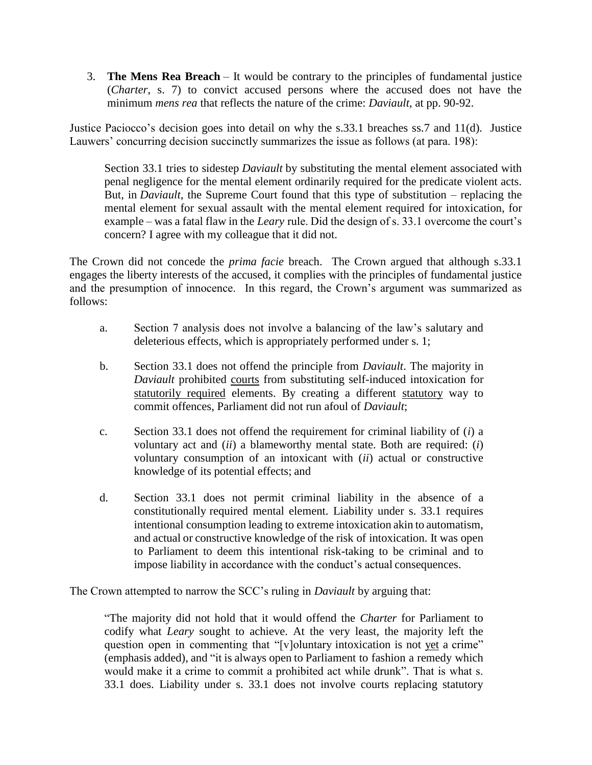3. **The Mens Rea Breach** – It would be contrary to the principles of fundamental justice (*Charter*, s. 7) to convict accused persons where the accused does not have the minimum *mens rea* that reflects the nature of the crime: *Daviault*, at pp. 90-92.

Justice Paciocco's decision goes into detail on why the s.33.1 breaches ss.7 and 11(d). Justice Lauwers' concurring decision succinctly summarizes the issue as follows (at para. 198):

Section 33.1 tries to sidestep *Daviault* by substituting the mental element associated with penal negligence for the mental element ordinarily required for the predicate violent acts. But, in *Daviault*, the Supreme Court found that this type of substitution – replacing the mental element for sexual assault with the mental element required for intoxication, for example – was a fatal flaw in the *Leary* rule. Did the design of s. 33.1 overcome the court's concern? I agree with my colleague that it did not.

The Crown did not concede the *prima facie* breach. The Crown argued that although s.33.1 engages the liberty interests of the accused, it complies with the principles of fundamental justice and the presumption of innocence. In this regard, the Crown's argument was summarized as follows:

- a. Section 7 analysis does not involve a balancing of the law's salutary and deleterious effects, which is appropriately performed under s. 1;
- b. Section 33.1 does not offend the principle from *Daviault*. The majority in *Daviault* prohibited courts from substituting self-induced intoxication for statutorily required elements. By creating a different statutory way to commit offences, Parliament did not run afoul of *Daviault*;
- c. Section 33.1 does not offend the requirement for criminal liability of (*i*) a voluntary act and (*ii*) a blameworthy mental state. Both are required: (*i*) voluntary consumption of an intoxicant with (*ii*) actual or constructive knowledge of its potential effects; and
- d. Section 33.1 does not permit criminal liability in the absence of a constitutionally required mental element. Liability under s. 33.1 requires intentional consumption leading to extreme intoxication akin to automatism, and actual or constructive knowledge of the risk of intoxication. It was open to Parliament to deem this intentional risk-taking to be criminal and to impose liability in accordance with the conduct's actual consequences.

The Crown attempted to narrow the SCC's ruling in *Daviault* by arguing that:

"The majority did not hold that it would offend the *Charter* for Parliament to codify what *Leary* sought to achieve. At the very least, the majority left the question open in commenting that "[v]oluntary intoxication is not yet a crime" (emphasis added), and "it is always open to Parliament to fashion a remedy which would make it a crime to commit a prohibited act while drunk". That is what s. 33.1 does. Liability under s. 33.1 does not involve courts replacing statutory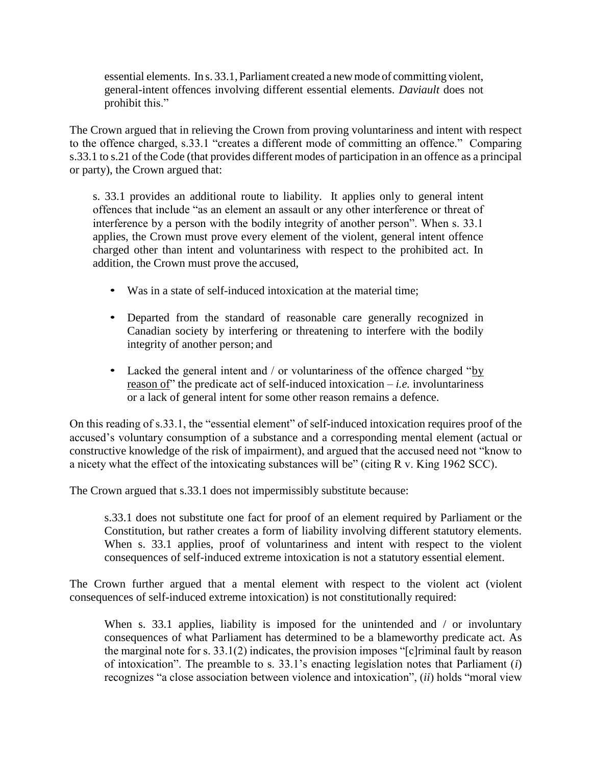essential elements. In s. 33.1, Parliament created a newmode of committing violent, general-intent offences involving different essential elements. *Daviault* does not prohibit this."

The Crown argued that in relieving the Crown from proving voluntariness and intent with respect to the offence charged, s.33.1 "creates a different mode of committing an offence." Comparing s.33.1 to s.21 of the Code (that provides different modes of participation in an offence as a principal or party), the Crown argued that:

s. 33.1 provides an additional route to liability. It applies only to general intent offences that include "as an element an assault or any other interference or threat of interference by a person with the bodily integrity of another person". When s. 33.1 applies, the Crown must prove every element of the violent, general intent offence charged other than intent and voluntariness with respect to the prohibited act. In addition, the Crown must prove the accused,

- Was in a state of self-induced intoxication at the material time;
- Departed from the standard of reasonable care generally recognized in Canadian society by interfering or threatening to interfere with the bodily integrity of another person; and
- Lacked the general intent and / or voluntariness of the offence charged "by reason of" the predicate act of self-induced intoxication – *i.e.* involuntariness or a lack of general intent for some other reason remains a defence.

On this reading of s.33.1, the "essential element" of self-induced intoxication requires proof of the accused's voluntary consumption of a substance and a corresponding mental element (actual or constructive knowledge of the risk of impairment), and argued that the accused need not "know to a nicety what the effect of the intoxicating substances will be" (citing R v. King 1962 SCC).

The Crown argued that s.33.1 does not impermissibly substitute because:

s.33.1 does not substitute one fact for proof of an element required by Parliament or the Constitution, but rather creates a form of liability involving different statutory elements. When s. 33.1 applies, proof of voluntariness and intent with respect to the violent consequences of self-induced extreme intoxication is not a statutory essential element.

The Crown further argued that a mental element with respect to the violent act (violent consequences of self-induced extreme intoxication) is not constitutionally required:

When s. 33.1 applies, liability is imposed for the unintended and  $\ell$  or involuntary consequences of what Parliament has determined to be a blameworthy predicate act. As the marginal note for s. 33.1(2) indicates, the provision imposes "[c]riminal fault by reason of intoxication". The preamble to s. 33.1's enacting legislation notes that Parliament (*i*) recognizes "a close association between violence and intoxication", (*ii*) holds "moral view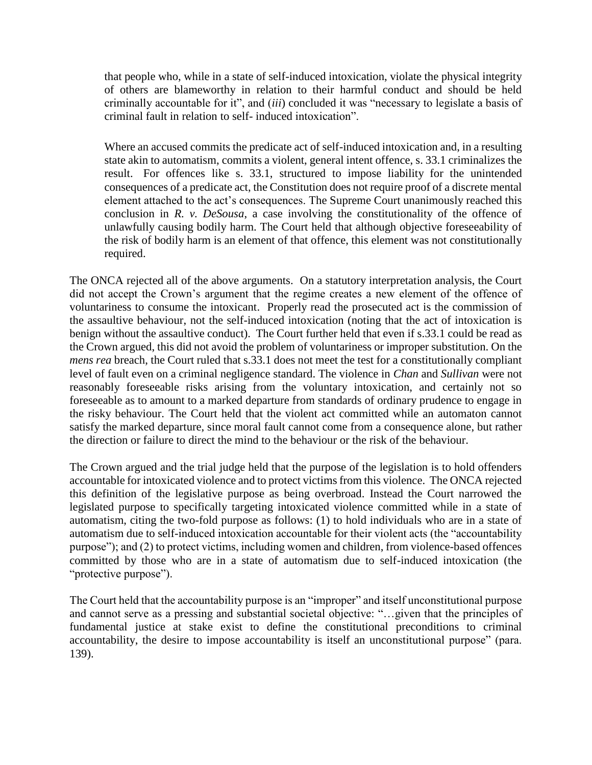that people who, while in a state of self-induced intoxication, violate the physical integrity of others are blameworthy in relation to their harmful conduct and should be held criminally accountable for it", and (*iii*) concluded it was "necessary to legislate a basis of criminal fault in relation to self- induced intoxication".

Where an accused commits the predicate act of self-induced intoxication and, in a resulting state akin to automatism, commits a violent, general intent offence, s. 33.1 criminalizes the result. For offences like s. 33.1, structured to impose liability for the unintended consequences of a predicate act, the Constitution does not require proof of a discrete mental element attached to the act's consequences. The Supreme Court unanimously reached this conclusion in *R. v. DeSousa*, a case involving the constitutionality of the offence of unlawfully causing bodily harm. The Court held that although objective foreseeability of the risk of bodily harm is an element of that offence, this element was not constitutionally required.

The ONCA rejected all of the above arguments. On a statutory interpretation analysis, the Court did not accept the Crown's argument that the regime creates a new element of the offence of voluntariness to consume the intoxicant. Properly read the prosecuted act is the commission of the assaultive behaviour, not the self-induced intoxication (noting that the act of intoxication is benign without the assaultive conduct). The Court further held that even if s.33.1 could be read as the Crown argued, this did not avoid the problem of voluntariness or improper substitution. On the *mens rea* breach, the Court ruled that s.33.1 does not meet the test for a constitutionally compliant level of fault even on a criminal negligence standard. The violence in *Chan* and *Sullivan* were not reasonably foreseeable risks arising from the voluntary intoxication, and certainly not so foreseeable as to amount to a marked departure from standards of ordinary prudence to engage in the risky behaviour. The Court held that the violent act committed while an automaton cannot satisfy the marked departure, since moral fault cannot come from a consequence alone, but rather the direction or failure to direct the mind to the behaviour or the risk of the behaviour.

The Crown argued and the trial judge held that the purpose of the legislation is to hold offenders accountable for intoxicated violence and to protect victims from this violence. The ONCA rejected this definition of the legislative purpose as being overbroad. Instead the Court narrowed the legislated purpose to specifically targeting intoxicated violence committed while in a state of automatism, citing the two-fold purpose as follows: (1) to hold individuals who are in a state of automatism due to self-induced intoxication accountable for their violent acts (the "accountability purpose"); and (2) to protect victims, including women and children, from violence-based offences committed by those who are in a state of automatism due to self-induced intoxication (the "protective purpose").

The Court held that the accountability purpose is an "improper" and itself unconstitutional purpose and cannot serve as a pressing and substantial societal objective: "…given that the principles of fundamental justice at stake exist to define the constitutional preconditions to criminal accountability, the desire to impose accountability is itself an unconstitutional purpose" (para. 139).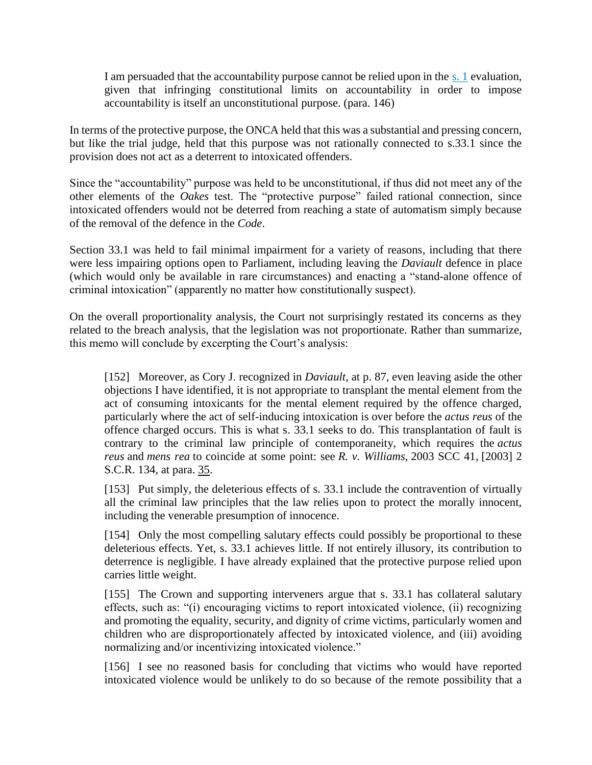I am persuaded that the accountability purpose cannot be relied upon in the [s. 1](https://www.canlii.org/en/ca/laws/stat/schedule-b-to-the-canada-act-1982-uk-1982-c-11/latest/schedule-b-to-the-canada-act-1982-uk-1982-c-11.html#sec1_smooth) evaluation, given that infringing constitutional limits on accountability in order to impose accountability is itself an unconstitutional purpose. (para. 146)

In terms of the protective purpose, the ONCA held that this was a substantial and pressing concern, but like the trial judge, held that this purpose was not rationally connected to s.33.1 since the provision does not act as a deterrent to intoxicated offenders.

Since the "accountability" purpose was held to be unconstitutional, if thus did not meet any of the other elements of the *Oakes* test. The "protective purpose" failed rational connection, since intoxicated offenders would not be deterred from reaching a state of automatism simply because of the removal of the defence in the *Code*.

Section 33.1 was held to fail minimal impairment for a variety of reasons, including that there were less impairing options open to Parliament, including leaving the *Daviault* defence in place (which would only be available in rare circumstances) and enacting a "stand-alone offence of criminal intoxication" (apparently no matter how constitutionally suspect).

On the overall proportionality analysis, the Court not surprisingly restated its concerns as they related to the breach analysis, that the legislation was not proportionate. Rather than summarize, this memo will conclude by excerpting the Court's analysis:

[152] Moreover, as Cory J. recognized in *Daviault*, at p. 87, even leaving aside the other objections I have identified, it is not appropriate to transplant the mental element from the act of consuming intoxicants for the mental element required by the offence charged, particularly where the act of self-inducing intoxication is over before the *actus reus* of the offence charged occurs. This is what s. 33.1 seeks to do. This transplantation of fault is contrary to the criminal law principle of contemporaneity, which requires the *actus reus* and *mens rea* to coincide at some point: see *R. v. Williams*, [2003 SCC 41,](https://www.canlii.org/en/ca/scc/doc/2003/2003scc41/2003scc41.html) [2003] 2 S.C.R. 134, at para. [35.](https://www.canlii.org/en/ca/scc/doc/2003/2003scc41/2003scc41.html#par35)

[153] Put simply, the deleterious effects of s. 33.1 include the contravention of virtually all the criminal law principles that the law relies upon to protect the morally innocent, including the venerable presumption of innocence.

[154] Only the most compelling salutary effects could possibly be proportional to these deleterious effects. Yet, s. 33.1 achieves little. If not entirely illusory, its contribution to deterrence is negligible. I have already explained that the protective purpose relied upon carries little weight.

[155] The Crown and supporting interveners argue that s. 33.1 has collateral salutary effects, such as: "(i) encouraging victims to report intoxicated violence, (ii) recognizing and promoting the equality, security, and dignity of crime victims, particularly women and children who are disproportionately affected by intoxicated violence, and (iii) avoiding normalizing and/or incentivizing intoxicated violence."

[156] I see no reasoned basis for concluding that victims who would have reported intoxicated violence would be unlikely to do so because of the remote possibility that a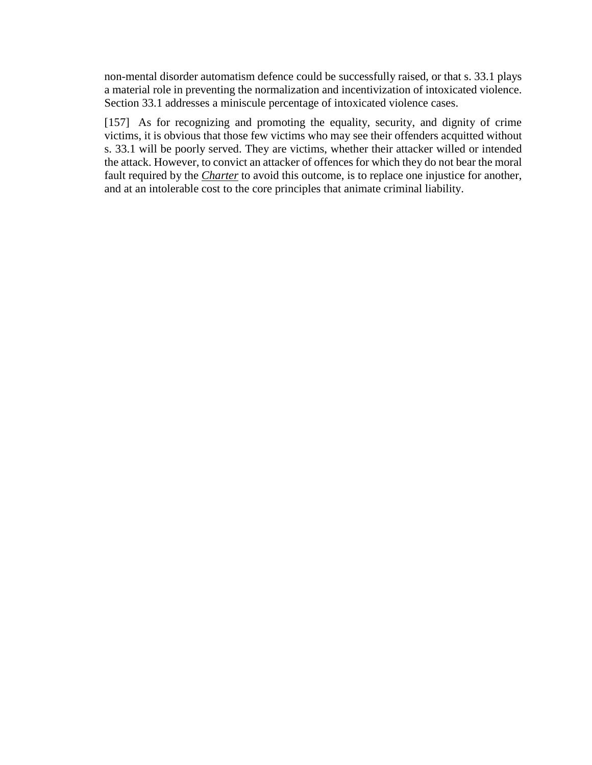non-mental disorder automatism defence could be successfully raised, or that s. 33.1 plays a material role in preventing the normalization and incentivization of intoxicated violence. Section 33.1 addresses a miniscule percentage of intoxicated violence cases.

[157] As for recognizing and promoting the equality, security, and dignity of crime victims, it is obvious that those few victims who may see their offenders acquitted without s. 33.1 will be poorly served. They are victims, whether their attacker willed or intended the attack. However, to convict an attacker of offences for which they do not bear the moral fault required by the *[Charter](https://www.canlii.org/en/ca/laws/stat/schedule-b-to-the-canada-act-1982-uk-1982-c-11/latest/schedule-b-to-the-canada-act-1982-uk-1982-c-11.html)* to avoid this outcome, is to replace one injustice for another, and at an intolerable cost to the core principles that animate criminal liability.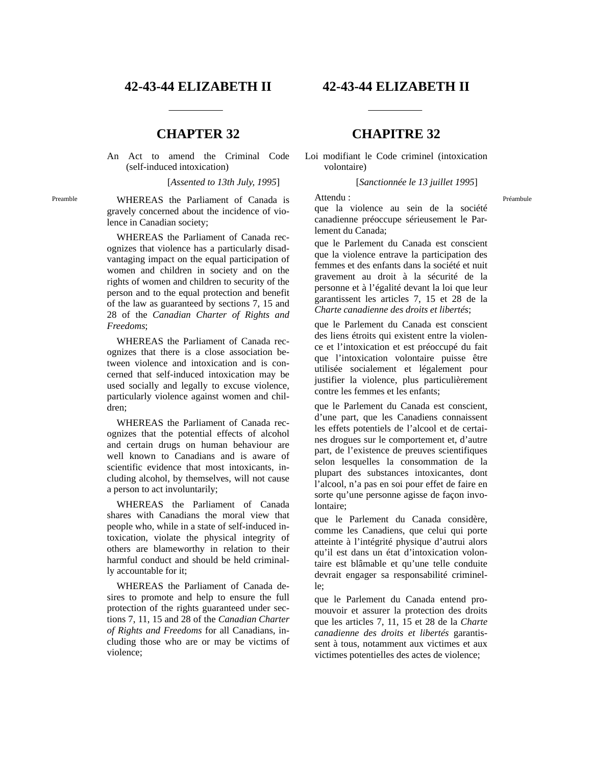An Act to amend the Criminal Code (self-induced intoxication)

[*Assented to 13th July, 1995*]

Preamble WHEREAS the Parliament of Canada is gravely concerned about the incidence of violence in Canadian society;

> WHEREAS the Parliament of Canada recognizes that violence has a particularly disadvantaging impact on the equal participation of women and children in society and on the rights of women and children to security of the person and to the equal protection and benefit of the law as guaranteed by sections 7, 15 and 28 of the *Canadian Charter of Rights and Freedoms*;

> WHEREAS the Parliament of Canada recognizes that there is a close association between violence and intoxication and is concerned that self-induced intoxication may be used socially and legally to excuse violence, particularly violence against women and children;

> WHEREAS the Parliament of Canada recognizes that the potential effects of alcohol and certain drugs on human behaviour are well known to Canadians and is aware of scientific evidence that most intoxicants, including alcohol, by themselves, will not cause a person to act involuntarily;

> WHEREAS the Parliament of Canada shares with Canadians the moral view that people who, while in a state of self-induced intoxication, violate the physical integrity of others are blameworthy in relation to their harmful conduct and should be held criminally accountable for it;

> WHEREAS the Parliament of Canada desires to promote and help to ensure the full protection of the rights guaranteed under sections 7, 11, 15 and 28 of the *Canadian Charter of Rights and Freedoms* for all Canadians, including those who are or may be victims of violence;

# **42-43-44 ELIZABETH II 42-43-44 ELIZABETH II**

# **CHAPTER 32 CHAPITRE 32**

Loi modifiant le Code criminel (intoxication volontaire)

[*Sanctionnée le 13 juillet 1995*]

que la violence au sein de la société canadienne préoccupe sérieusement le Parlement du Canada;

que le Parlement du Canada est conscient que la violence entrave la participation des femmes et des enfants dans la société et nuit gravement au droit à la sécurité de la personne et à l'égalité devant la loi que leur garantissent les articles 7, 15 et 28 de la *Charte canadienne des droits et libertés*;

que le Parlement du Canada est conscient des liens étroits qui existent entre la violence et l'intoxication et est préoccupé du fait que l'intoxication volontaire puisse être utilisée socialement et légalement pour justifier la violence, plus particulièrement contre les femmes et les enfants;

que le Parlement du Canada est conscient, d'une part, que les Canadiens connaissent les effets potentiels de l'alcool et de certaines drogues sur le comportement et, d'autre part, de l'existence de preuves scientifiques selon lesquelles la consommation de la plupart des substances intoxicantes, dont l'alcool, n'a pas en soi pour effet de faire en sorte qu'une personne agisse de façon involontaire;

que le Parlement du Canada considère, comme les Canadiens, que celui qui porte atteinte à l'intégrité physique d'autrui alors qu'il est dans un état d'intoxication volontaire est blâmable et qu'une telle conduite devrait engager sa responsabilité criminelle;

que le Parlement du Canada entend promouvoir et assurer la protection des droits que les articles 7, 11, 15 et 28 de la *Charte canadienne des droits et libertés* garantissent à tous, notamment aux victimes et aux victimes potentielles des actes de violence;

Attendu : Préambule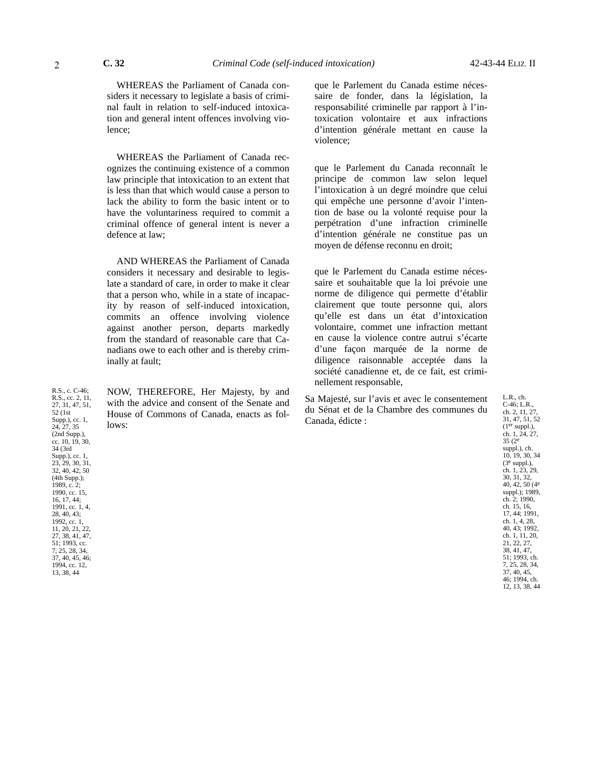WHEREAS the Parliament of Canada considers it necessary to legislate a basis of criminal fault in relation to self-induced intoxication and general intent offences involving violence;

WHEREAS the Parliament of Canada recognizes the continuing existence of a common law principle that intoxication to an extent that is less than that which would cause a person to lack the ability to form the basic intent or to have the voluntariness required to commit a criminal offence of general intent is never a defence at law;

AND WHEREAS the Parliament of Canada considers it necessary and desirable to legislate a standard of care, in order to make it clear that a person who, while in a state of incapacity by reason of self-induced intoxication, commits an offence involving violence against another person, departs markedly from the standard of reasonable care that Canadians owe to each other and is thereby criminally at fault;

NOW, THEREFORE, Her Majesty, by and with the advice and consent of the Senate and House of Commons of Canada, enacts as follows:

que le Parlement du Canada estime nécessaire de fonder, dans la législation, la responsabilité criminelle par rapport à l'intoxication volontaire et aux infractions d'intention générale mettant en cause la violence;

que le Parlement du Canada reconnaît le principe de common law selon lequel l'intoxication à un degré moindre que celui qui empêche une personne d'avoir l'intention de base ou la volonté requise pour la perpétration d'une infraction criminelle d'intention générale ne constitue pas un moyen de défense reconnu en droit;

que le Parlement du Canada estime nécessaire et souhaitable que la loi prévoie une norme de diligence qui permette d'établir clairement que toute personne qui, alors qu'elle est dans un état d'intoxication volontaire, commet une infraction mettant en cause la violence contre autrui s'écarte d'une façon marquée de la norme de diligence raisonnable acceptée dans la société canadienne et, de ce fait, est criminellement responsable,

Sa Majesté, sur l'avis et avec le consentement du Sénat et de la Chambre des communes du Canada, édicte :

L.R., ch. C-46; L.R., ch. 2, 11, 27 31, 47, 51, 52  $(1<sup>er</sup> supp.),$ ch. 1, 24, 27,  $35(2^e)$ suppl.), ch. 10, 19, 30, 34 (3e suppl.), ch. 1, 23, 29, 30, 31, 32, 40, 42, 50 (4e suppl.); 1989, ch. 2; 1990, ch. 15, 16,  $17, 44, 1991$ ch. 1, 4, 28, 40, 43; 1992, ch. 1, 11, 20, 21, 22, 27, 38, 41, 47, 51; 1993, ch. 7, 25, 28, 34, 37, 40, 45, 46; 1994, ch. 12, 13, 38, 44

R.S., c. C-46; R.S., cc. 2, 11, 27, 31, 47, 51, 52 (1st Supp.), cc. 1, 24, 27, 35 (2nd Supp.), cc. 10, 19, 30, 34 (3rd Supp.), cc. 1, 23, 29, 30, 31, 32, 40, 42, 50 (4th Supp.); 1989, c. 2; 1990, cc. 15, 16, 17, 44; 1991, cc. 1, 4, 28, 40, 43; 1992, cc. 1, 11, 20, 21, 22, 27, 38, 41, 47, 51; 1993, cc. 7, 25, 28, 34, 37, 40, 45, 46; 1994, cc. 12, 13, 38, 44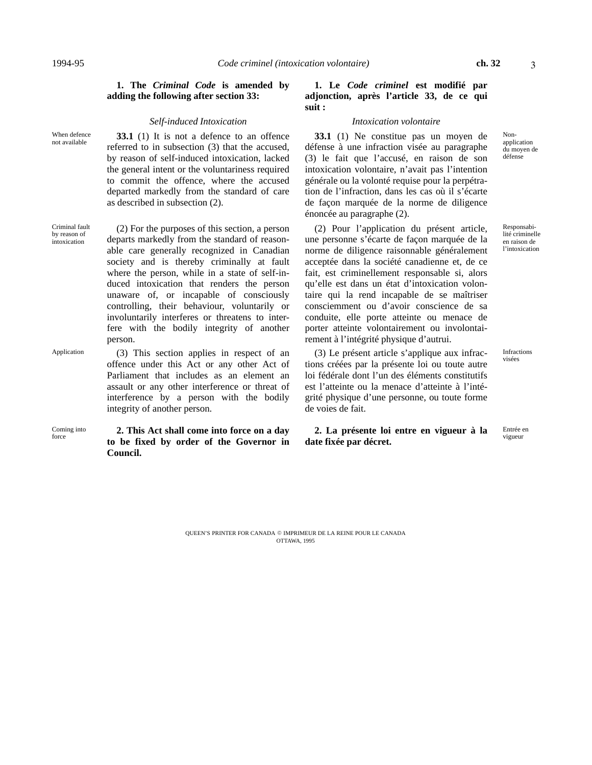Nonapplication du moyen de défense

3

### **1. The** *Criminal Code* **is amended by adding the following after section 33:**

### *Self-induced Intoxication Intoxication volontaire*

When defence not available

**33.1** (1) It is not a defence to an offence referred to in subsection (3) that the accused, by reason of self-induced intoxication, lacked the general intent or the voluntariness required to commit the offence, where the accused departed markedly from the standard of care as described in subsection (2).

Criminal fault by reason of intoxication

(2) For the purposes of this section, a person departs markedly from the standard of reasonable care generally recognized in Canadian society and is thereby criminally at fault where the person, while in a state of self-induced intoxication that renders the person unaware of, or incapable of consciously controlling, their behaviour, voluntarily or involuntarily interferes or threatens to interfere with the bodily integrity of another person.

offence under this Act or any other Act of Parliament that includes as an element an

Application (3) This section applies in respect of an

assault or any other interference or threat of interference by a person with the bodily integrity of another person.

Coming into force **2. This Act shall come into force on a day to be fixed by order of the Governor in Council.**

### **1. Le** *Code criminel* **est modifié par adjonction, après l'article 33, de ce qui suit :**

**33.1** (1) Ne constitue pas un moyen de défense à une infraction visée au paragraphe (3) le fait que l'accusé, en raison de son intoxication volontaire, n'avait pas l'intention générale ou la volonté requise pour la perpétration de l'infraction, dans les cas où il s'écarte de façon marquée de la norme de diligence énoncée au paragraphe (2).

(2) Pour l'application du présent article, une personne s'écarte de façon marquée de la norme de diligence raisonnable généralement acceptée dans la société canadienne et, de ce fait, est criminellement responsable si, alors qu'elle est dans un état d'intoxication volontaire qui la rend incapable de se maîtriser consciemment ou d'avoir conscience de sa conduite, elle porte atteinte ou menace de porter atteinte volontairement ou involontairement à l'intégrité physique d'autrui.

 $(3)$  Le présent article s'applique aux infractions créées par la présente loi ou toute autre loi fédérale dont l'un des éléments constitutifs est l'atteinte ou la menace d'atteinte à l'intégrité physique d'une personne, ou toute forme de voies de fait.

2. La présente loi entre en vigueur à la Entrée e **date fixée par décret.**

Responsabilité criminelle en raison de

l'intoxication

Infractions

Entrée en

QUEEN'S PRINTER FOR CANADA © IMPRIMEUR DE LA REINE POUR LE CANADA OTTAWA, 1995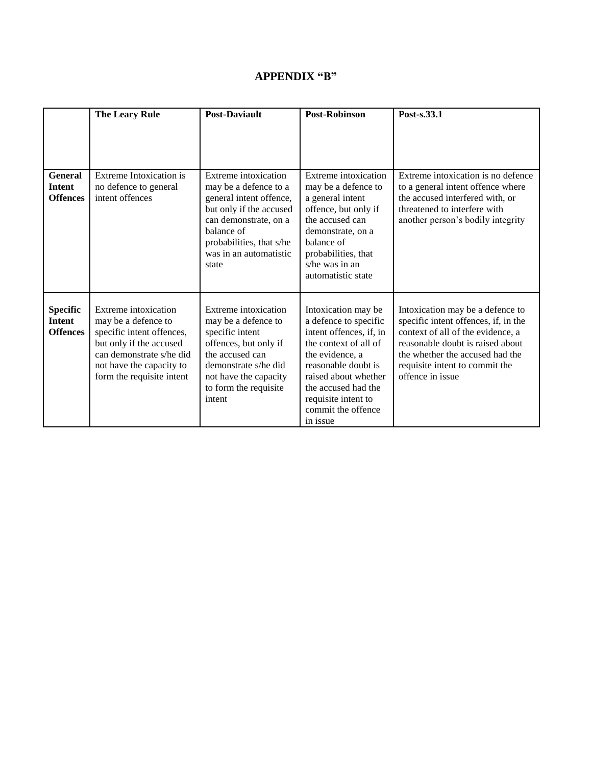# **APPENDIX "B"**

|                                                    | <b>The Leary Rule</b>                                                                                                                                                                    | <b>Post-Daviault</b>                                                                                                                                                                                      | Post-Robinson                                                                                                                                                                                                                                      | Post-s.33.1                                                                                                                                                                                                                                |
|----------------------------------------------------|------------------------------------------------------------------------------------------------------------------------------------------------------------------------------------------|-----------------------------------------------------------------------------------------------------------------------------------------------------------------------------------------------------------|----------------------------------------------------------------------------------------------------------------------------------------------------------------------------------------------------------------------------------------------------|--------------------------------------------------------------------------------------------------------------------------------------------------------------------------------------------------------------------------------------------|
| <b>General</b><br><b>Intent</b><br><b>Offences</b> | Extreme Intoxication is<br>no defence to general<br>intent offences                                                                                                                      | Extreme intoxication<br>may be a defence to a<br>general intent offence,<br>but only if the accused<br>can demonstrate, on a<br>balance of<br>probabilities, that s/he<br>was in an automatistic<br>state | Extreme intoxication<br>may be a defence to<br>a general intent<br>offence, but only if<br>the accused can<br>demonstrate, on a<br>balance of<br>probabilities, that<br>s/he was in an<br>automatistic state                                       | Extreme intoxication is no defence<br>to a general intent offence where<br>the accused interfered with, or<br>threatened to interfere with<br>another person's bodily integrity                                                            |
| <b>Specific</b><br>Intent<br><b>Offences</b>       | Extreme intoxication<br>may be a defence to<br>specific intent offences,<br>but only if the accused<br>can demonstrate s/he did<br>not have the capacity to<br>form the requisite intent | Extreme intoxication<br>may be a defence to<br>specific intent<br>offences, but only if<br>the accused can<br>demonstrate s/he did<br>not have the capacity<br>to form the requisite<br>intent            | Intoxication may be<br>a defence to specific<br>intent offences, if, in<br>the context of all of<br>the evidence, a<br>reasonable doubt is<br>raised about whether<br>the accused had the<br>requisite intent to<br>commit the offence<br>in issue | Intoxication may be a defence to<br>specific intent offences, if, in the<br>context of all of the evidence, a<br>reasonable doubt is raised about<br>the whether the accused had the<br>requisite intent to commit the<br>offence in issue |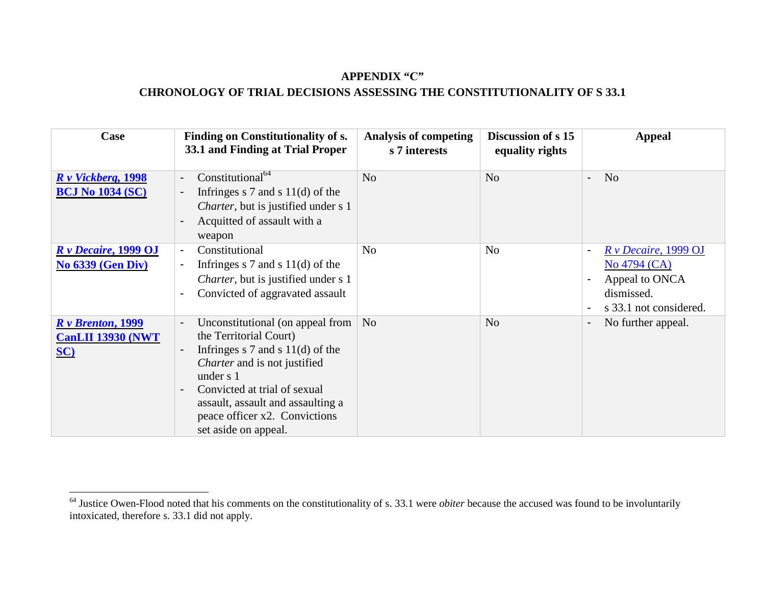# **APPENDIX "C"**

# **CHRONOLOGY OF TRIAL DECISIONS ASSESSING THE CONSTITUTIONALITY OF S 33.1**

| Case                                                    | <b>Finding on Constitutionality of s.</b><br>33.1 and Finding at Trial Proper                                                                                                                                                                                                                                                                                  | <b>Analysis of competing</b><br>s 7 interests | Discussion of s 15<br>equality rights | <b>Appeal</b>                                                                                    |
|---------------------------------------------------------|----------------------------------------------------------------------------------------------------------------------------------------------------------------------------------------------------------------------------------------------------------------------------------------------------------------------------------------------------------------|-----------------------------------------------|---------------------------------------|--------------------------------------------------------------------------------------------------|
| R v Vickberg, 1998<br><b>BCJ No 1034 (SC)</b>           | Constitutional <sup>64</sup><br>$\overline{\phantom{0}}$<br>Infringes $s$ 7 and $s$ 11(d) of the<br>$\overline{a}$<br><i>Charter</i> , but is justified under s 1<br>Acquitted of assault with a<br>$\blacksquare$<br>weapon                                                                                                                                   | N <sub>o</sub>                                | N <sub>o</sub>                        | N <sub>o</sub><br>$\overline{\phantom{a}}$                                                       |
| <b>R</b> v Decaire, 1999 OJ<br><b>No 6339 (Gen Div)</b> | Constitutional<br>$\blacksquare$<br>Infringes $s$ 7 and $s$ 11(d) of the<br>$\overline{\phantom{a}}$<br><i>Charter</i> , but is justified under s 1<br>Convicted of aggravated assault<br>$\blacksquare$                                                                                                                                                       | N <sub>o</sub>                                | N <sub>o</sub>                        | $R v$ Decaire, 1999 OJ<br>No 4794 (CA)<br>Appeal to ONCA<br>dismissed.<br>s 33.1 not considered. |
| $R v$ Brenton, 1999<br><b>CanLII 13930 (NWT</b><br>SC)  | Unconstitutional (on appeal from<br>$\overline{a}$<br>the Territorial Court)<br>Infringes $s$ 7 and $s$ 11(d) of the<br>$\overline{\phantom{0}}$<br><i>Charter</i> and is not justified<br>under s 1<br>Convicted at trial of sexual<br>$\overline{\phantom{0}}$<br>assault, assault and assaulting a<br>peace officer x2. Convictions<br>set aside on appeal. | N <sub>o</sub>                                | N <sub>o</sub>                        | No further appeal.                                                                               |

<sup>&</sup>lt;sup>64</sup> Justice Owen-Flood noted that his comments on the constitutionality of s. 33.1 were *obiter* because the accused was found to be involuntarily intoxicated, therefore s. 33.1 did not apply.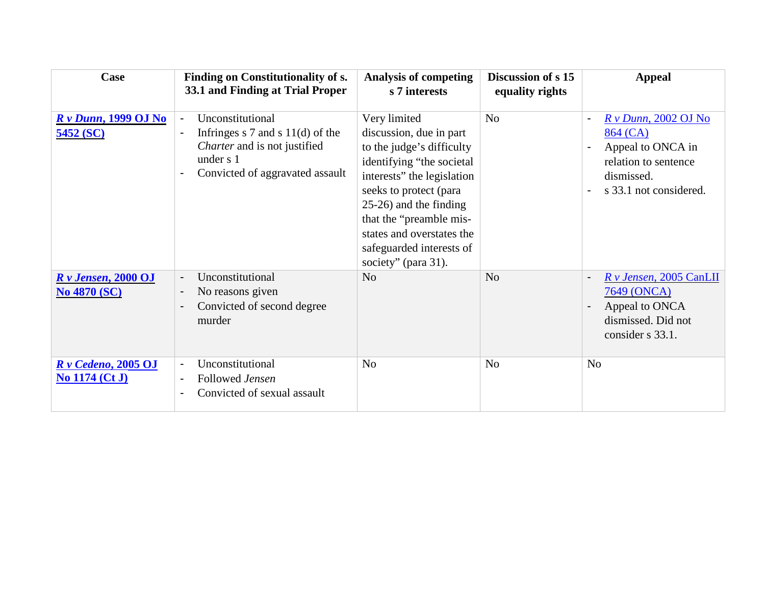| Case                                          | <b>Finding on Constitutionality of s.</b><br>33.1 and Finding at Trial Proper                                                                                                                                   | <b>Analysis of competing</b><br>s 7 interests                                                                                                                                                                                                                                                  | Discussion of s 15<br>equality rights | <b>Appeal</b>                                                                                                                            |
|-----------------------------------------------|-----------------------------------------------------------------------------------------------------------------------------------------------------------------------------------------------------------------|------------------------------------------------------------------------------------------------------------------------------------------------------------------------------------------------------------------------------------------------------------------------------------------------|---------------------------------------|------------------------------------------------------------------------------------------------------------------------------------------|
| <b>R</b> v Dunn, 1999 OJ No<br>5452 (SC)      | Unconstitutional<br>$\blacksquare$<br>Infringes $s$ 7 and $s$ 11(d) of the<br>$\overline{\phantom{a}}$<br><i>Charter</i> and is not justified<br>under s 1<br>Convicted of aggravated assault<br>$\blacksquare$ | Very limited<br>discussion, due in part<br>to the judge's difficulty<br>identifying "the societal<br>interests" the legislation<br>seeks to protect (para<br>25-26) and the finding<br>that the "preamble mis-<br>states and overstates the<br>safeguarded interests of<br>society" (para 31). | N <sub>o</sub>                        | $Rv$ Dunn, 2002 OJ No<br>864 (CA)<br>Appeal to ONCA in<br>relation to sentence<br>dismissed.<br>s 33.1 not considered.<br>$\blacksquare$ |
| $Rv$ Jensen, 2000 OJ<br><b>No 4870 (SC)</b>   | Unconstitutional<br>$\overline{\phantom{a}}$<br>No reasons given<br>$\overline{\phantom{a}}$<br>Convicted of second degree<br>$\blacksquare$<br>murder                                                          | N <sub>o</sub>                                                                                                                                                                                                                                                                                 | N <sub>o</sub>                        | $R \nu$ Jensen, 2005 CanLII<br>$\overline{\phantom{a}}$<br>7649 (ONCA)<br>Appeal to ONCA<br>dismissed. Did not<br>consider s 33.1.       |
| $Rv$ Cedeno, 2005 OJ<br><b>No 1174 (Ct J)</b> | Unconstitutional<br>$\overline{\phantom{a}}$<br>Followed Jensen<br>$\blacksquare$<br>Convicted of sexual assault<br>$\blacksquare$                                                                              | N <sub>o</sub>                                                                                                                                                                                                                                                                                 | N <sub>o</sub>                        | N <sub>o</sub>                                                                                                                           |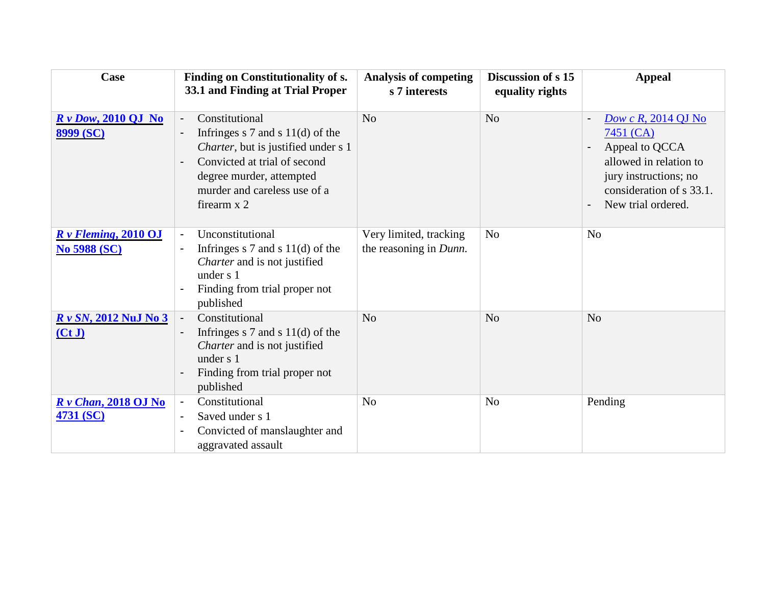| Case                                            | Finding on Constitutionality of s.<br>33.1 and Finding at Trial Proper                                                                                                                                                                                                             | <b>Analysis of competing</b><br>s 7 interests    | Discussion of s 15<br>equality rights | <b>Appeal</b>                                                                                                                                                                  |
|-------------------------------------------------|------------------------------------------------------------------------------------------------------------------------------------------------------------------------------------------------------------------------------------------------------------------------------------|--------------------------------------------------|---------------------------------------|--------------------------------------------------------------------------------------------------------------------------------------------------------------------------------|
| $Rv$ Dow, 2010 QJ No<br>8999 (SC)               | Constitutional<br>$\overline{\phantom{a}}$<br>Infringes $s$ 7 and $s$ 11(d) of the<br>$\blacksquare$<br>Charter, but is justified under s 1<br>Convicted at trial of second<br>$\overline{\phantom{0}}$<br>degree murder, attempted<br>murder and careless use of a<br>firearm x 2 | N <sub>o</sub>                                   | N <sub>0</sub>                        | Dow c $R$ , 2014 QJ No<br>$7451$ (CA)<br>Appeal to QCCA<br>allowed in relation to<br>jury instructions; no<br>consideration of s 33.1.<br>New trial ordered.<br>$\blacksquare$ |
| $R \nu$ Fleming, 2010 OJ<br><b>No 5988 (SC)</b> | Unconstitutional<br>$\blacksquare$<br>Infringes $s$ 7 and $s$ 11(d) of the<br>$\overline{\phantom{a}}$<br>Charter and is not justified<br>under s 1<br>Finding from trial proper not<br>$\blacksquare$<br>published                                                                | Very limited, tracking<br>the reasoning in Dunn. | N <sub>o</sub>                        | N <sub>o</sub>                                                                                                                                                                 |
| R v SN, 2012 NuJ No 3<br>(CtJ)                  | Constitutional<br>$\overline{\phantom{a}}$<br>Infringes $s$ 7 and $s$ 11(d) of the<br>$\overline{\phantom{a}}$<br>Charter and is not justified<br>under s 1<br>Finding from trial proper not<br>$\blacksquare$<br>published                                                        | N <sub>o</sub>                                   | N <sub>o</sub>                        | N <sub>o</sub>                                                                                                                                                                 |
| $R v$ Chan, 2018 OJ No<br>4731 (SC)             | Constitutional<br>$\overline{\phantom{a}}$<br>Saved under s 1<br>$\blacksquare$<br>Convicted of manslaughter and<br>$\blacksquare$<br>aggravated assault                                                                                                                           | N <sub>o</sub>                                   | N <sub>o</sub>                        | Pending                                                                                                                                                                        |